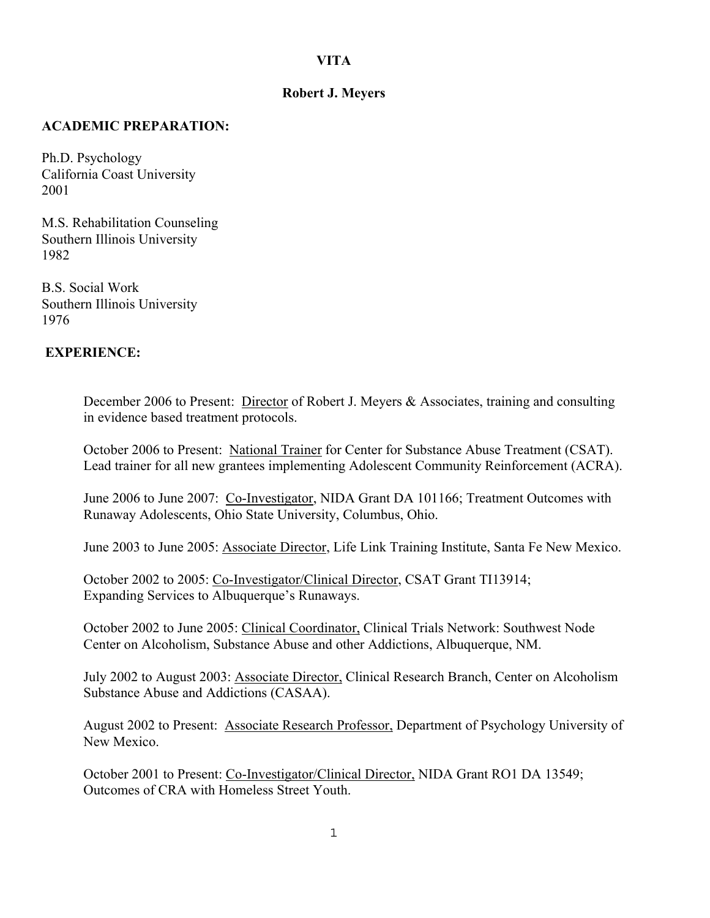# **VITA**

### **Robert J. Meyers**

#### **ACADEMIC PREPARATION:**

Ph.D. Psychology California Coast University 2001

M.S. Rehabilitation Counseling Southern Illinois University 1982

B.S. Social Work Southern Illinois University 1976

#### **EXPERIENCE:**

December 2006 to Present: Director of Robert J. Meyers & Associates, training and consulting in evidence based treatment protocols.

October 2006 to Present: National Trainer for Center for Substance Abuse Treatment (CSAT). Lead trainer for all new grantees implementing Adolescent Community Reinforcement (ACRA).

June 2006 to June 2007: Co-Investigator, NIDA Grant DA 101166; Treatment Outcomes with Runaway Adolescents, Ohio State University, Columbus, Ohio.

June 2003 to June 2005: Associate Director, Life Link Training Institute, Santa Fe New Mexico.

October 2002 to 2005: Co-Investigator/Clinical Director, CSAT Grant TI13914; Expanding Services to Albuquerque's Runaways.

October 2002 to June 2005: Clinical Coordinator, Clinical Trials Network: Southwest Node Center on Alcoholism, Substance Abuse and other Addictions, Albuquerque, NM.

July 2002 to August 2003: Associate Director, Clinical Research Branch, Center on Alcoholism Substance Abuse and Addictions (CASAA).

August 2002 to Present: Associate Research Professor, Department of Psychology University of New Mexico.

October 2001 to Present: Co-Investigator/Clinical Director, NIDA Grant RO1 DA 13549; Outcomes of CRA with Homeless Street Youth.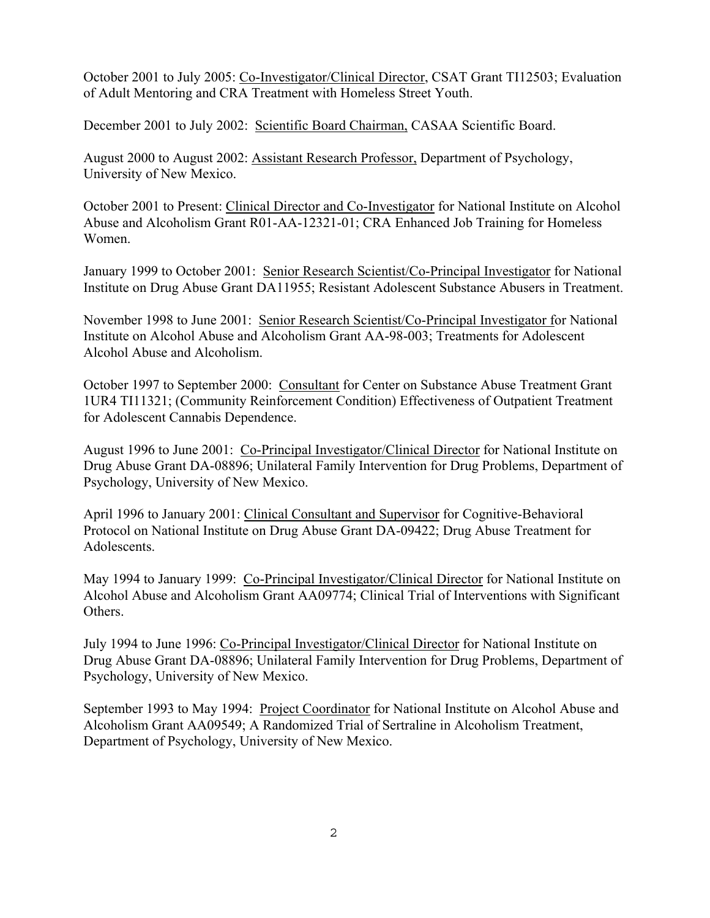October 2001 to July 2005: Co-Investigator/Clinical Director, CSAT Grant TI12503; Evaluation of Adult Mentoring and CRA Treatment with Homeless Street Youth.

December 2001 to July 2002: Scientific Board Chairman, CASAA Scientific Board.

August 2000 to August 2002: Assistant Research Professor, Department of Psychology, University of New Mexico.

October 2001 to Present: Clinical Director and Co-Investigator for National Institute on Alcohol Abuse and Alcoholism Grant R01-AA-12321-01; CRA Enhanced Job Training for Homeless Women.

January 1999 to October 2001: Senior Research Scientist/Co-Principal Investigator for National Institute on Drug Abuse Grant DA11955; Resistant Adolescent Substance Abusers in Treatment.

November 1998 to June 2001: Senior Research Scientist/Co-Principal Investigator for National Institute on Alcohol Abuse and Alcoholism Grant AA-98-003; Treatments for Adolescent Alcohol Abuse and Alcoholism.

October 1997 to September 2000: Consultant for Center on Substance Abuse Treatment Grant 1UR4 TI11321; (Community Reinforcement Condition) Effectiveness of Outpatient Treatment for Adolescent Cannabis Dependence.

August 1996 to June 2001: Co-Principal Investigator/Clinical Director for National Institute on Drug Abuse Grant DA-08896; Unilateral Family Intervention for Drug Problems, Department of Psychology, University of New Mexico.

April 1996 to January 2001: Clinical Consultant and Supervisor for Cognitive-Behavioral Protocol on National Institute on Drug Abuse Grant DA-09422; Drug Abuse Treatment for Adolescents.

May 1994 to January 1999: Co-Principal Investigator/Clinical Director for National Institute on Alcohol Abuse and Alcoholism Grant AA09774; Clinical Trial of Interventions with Significant Others.

July 1994 to June 1996: Co-Principal Investigator/Clinical Director for National Institute on Drug Abuse Grant DA-08896; Unilateral Family Intervention for Drug Problems, Department of Psychology, University of New Mexico.

September 1993 to May 1994: Project Coordinator for National Institute on Alcohol Abuse and Alcoholism Grant AA09549; A Randomized Trial of Sertraline in Alcoholism Treatment, Department of Psychology, University of New Mexico.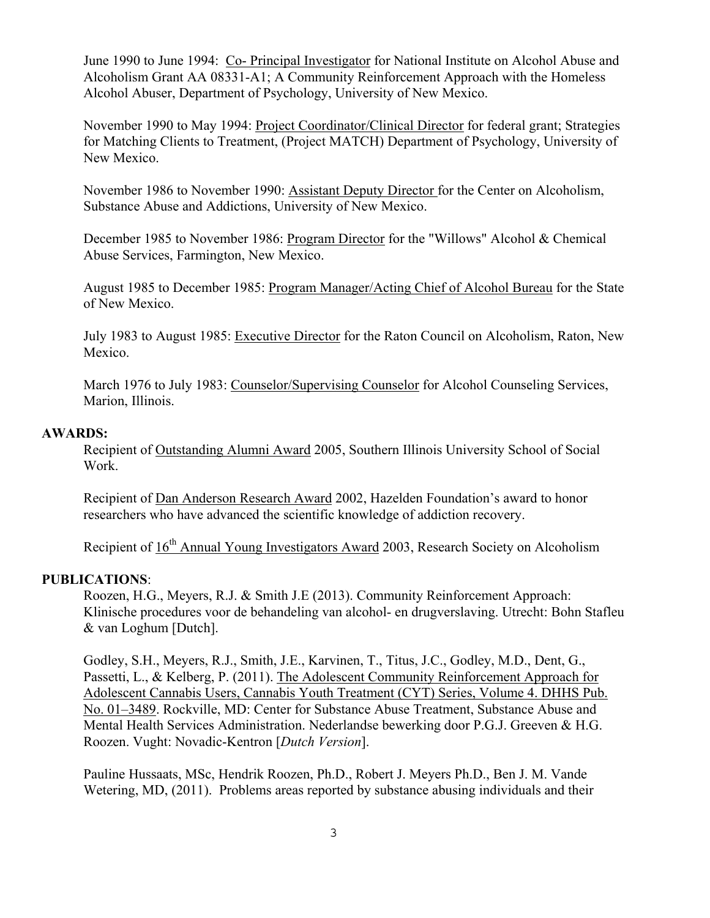June 1990 to June 1994: Co- Principal Investigator for National Institute on Alcohol Abuse and Alcoholism Grant AA 08331-A1; A Community Reinforcement Approach with the Homeless Alcohol Abuser, Department of Psychology, University of New Mexico.

November 1990 to May 1994: Project Coordinator/Clinical Director for federal grant; Strategies for Matching Clients to Treatment, (Project MATCH) Department of Psychology, University of New Mexico.

November 1986 to November 1990: Assistant Deputy Director for the Center on Alcoholism, Substance Abuse and Addictions, University of New Mexico.

December 1985 to November 1986: Program Director for the "Willows" Alcohol & Chemical Abuse Services, Farmington, New Mexico.

August 1985 to December 1985: Program Manager/Acting Chief of Alcohol Bureau for the State of New Mexico.

July 1983 to August 1985: Executive Director for the Raton Council on Alcoholism, Raton, New Mexico.

March 1976 to July 1983: Counselor/Supervising Counselor for Alcohol Counseling Services, Marion, Illinois.

#### **AWARDS:**

 Recipient of Outstanding Alumni Award 2005, Southern Illinois University School of Social Work.

Recipient of Dan Anderson Research Award 2002, Hazelden Foundation's award to honor researchers who have advanced the scientific knowledge of addiction recovery.

Recipient of 16<sup>th</sup> Annual Young Investigators Award 2003, Research Society on Alcoholism

#### **PUBLICATIONS**:

Roozen, H.G., Meyers, R.J. & Smith J.E (2013). Community Reinforcement Approach: Klinische procedures voor de behandeling van alcohol- en drugverslaving. Utrecht: Bohn Stafleu & van Loghum [Dutch].

Godley, S.H., Meyers, R.J., Smith, J.E., Karvinen, T., Titus, J.C., Godley, M.D., Dent, G., Passetti, L., & Kelberg, P. (2011). The Adolescent Community Reinforcement Approach for Adolescent Cannabis Users, Cannabis Youth Treatment (CYT) Series, Volume 4. DHHS Pub. No. 01–3489. Rockville, MD: Center for Substance Abuse Treatment, Substance Abuse and Mental Health Services Administration. Nederlandse bewerking door P.G.J. Greeven & H.G. Roozen. Vught: Novadic-Kentron [*Dutch Version*].

Pauline Hussaats, MSc, Hendrik Roozen, Ph.D., Robert J. Meyers Ph.D., Ben J. M. Vande Wetering, MD, (2011). Problems areas reported by substance abusing individuals and their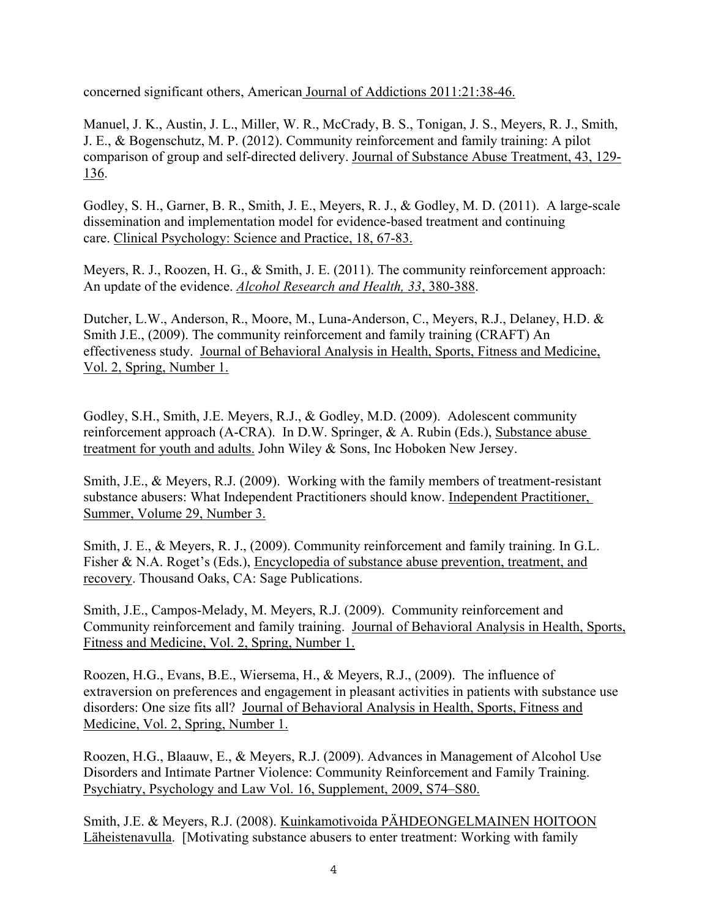concerned significant others, American Journal of Addictions 2011:21:38-46.

Manuel, J. K., Austin, J. L., Miller, W. R., McCrady, B. S., Tonigan, J. S., Meyers, R. J., Smith, J. E., & Bogenschutz, M. P. (2012). Community reinforcement and family training: A pilot comparison of group and self-directed delivery. Journal of Substance Abuse Treatment, 43, 129- 136.

Godley, S. H., Garner, B. R., Smith, J. E., Meyers, R. J., & Godley, M. D. (2011). A large-scale dissemination and implementation model for evidence-based treatment and continuing care. Clinical Psychology: Science and Practice, 18, 67-83.

Meyers, R. J., Roozen, H. G., & Smith, J. E. (2011). The community reinforcement approach: An update of the evidence. *Alcohol Research and Health, 33*, 380-388.

Dutcher, L.W., Anderson, R., Moore, M., Luna-Anderson, C., Meyers, R.J., Delaney, H.D. & Smith J.E., (2009). The community reinforcement and family training (CRAFT) An effectiveness study. Journal of Behavioral Analysis in Health, Sports, Fitness and Medicine, Vol. 2, Spring, Number 1.

Godley, S.H., Smith, J.E. Meyers, R.J., & Godley, M.D. (2009). Adolescent community reinforcement approach (A-CRA). In D.W. Springer, & A. Rubin (Eds.), Substance abuse treatment for youth and adults. John Wiley & Sons, Inc Hoboken New Jersey.

 Smith, J.E., & Meyers, R.J. (2009). Working with the family members of treatment-resistant substance abusers: What Independent Practitioners should know. Independent Practitioner, Summer, Volume 29, Number 3.

 Smith, J. E., & Meyers, R. J., (2009). Community reinforcement and family training. In G.L. Fisher & N.A. Roget's (Eds.), Encyclopedia of substance abuse prevention, treatment, and recovery. Thousand Oaks, CA: Sage Publications.

 Smith, J.E., Campos-Melady, M. Meyers, R.J. (2009). Community reinforcement and Community reinforcement and family training. Journal of Behavioral Analysis in Health, Sports, Fitness and Medicine, Vol. 2, Spring, Number 1.

Roozen, H.G., Evans, B.E., Wiersema, H., & Meyers, R.J., (2009). The influence of extraversion on preferences and engagement in pleasant activities in patients with substance use disorders: One size fits all? Journal of Behavioral Analysis in Health, Sports, Fitness and Medicine, Vol. 2, Spring, Number 1.

 Roozen, H.G., Blaauw, E., & Meyers, R.J. (2009). Advances in Management of Alcohol Use Disorders and Intimate Partner Violence: Community Reinforcement and Family Training. Psychiatry, Psychology and Law Vol. 16, Supplement, 2009, S74–S80.

Smith, J.E. & Meyers, R.J. (2008). Kuinkamotivoida PÄHDEONGELMAINEN HOITOON Läheistenavulla. [Motivating substance abusers to enter treatment: Working with family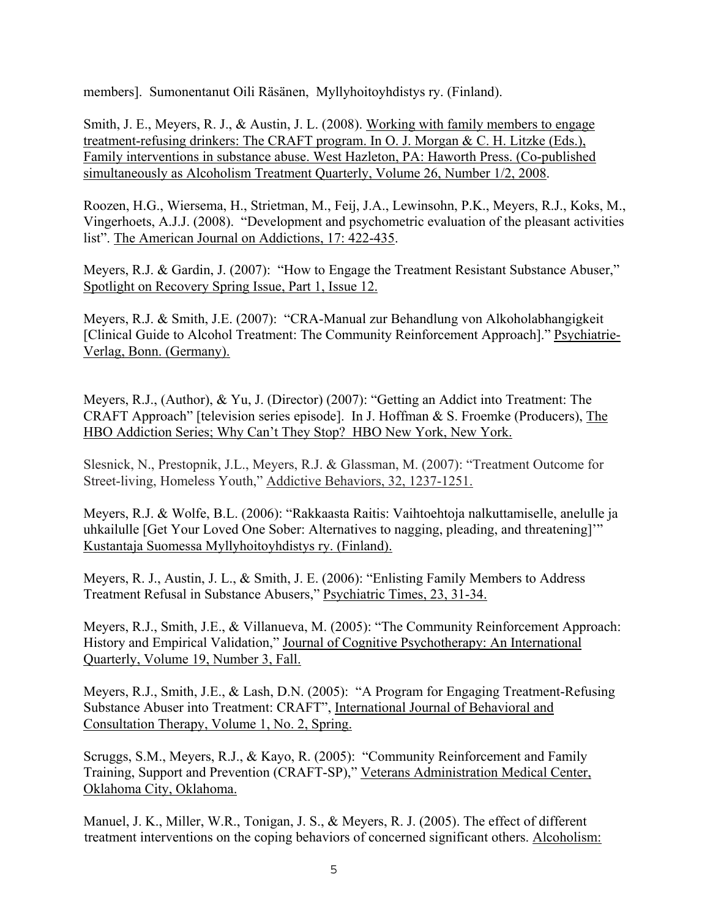members]. Sumonentanut Oili Räsänen, Myllyhoitoyhdistys ry. (Finland).

Smith, J. E., Meyers, R. J., & Austin, J. L. (2008). Working with family members to engage treatment-refusing drinkers: The CRAFT program. In O. J. Morgan & C. H. Litzke (Eds.), Family interventions in substance abuse. West Hazleton, PA: Haworth Press. (Co-published simultaneously as Alcoholism Treatment Quarterly, Volume 26, Number 1/2, 2008.

Roozen, H.G., Wiersema, H., Strietman, M., Feij, J.A., Lewinsohn, P.K., Meyers, R.J., Koks, M., Vingerhoets, A.J.J. (2008). "Development and psychometric evaluation of the pleasant activities list". The American Journal on Addictions, 17: 422-435.

Meyers, R.J. & Gardin, J. (2007): "How to Engage the Treatment Resistant Substance Abuser," Spotlight on Recovery Spring Issue, Part 1, Issue 12.

Meyers, R.J. & Smith, J.E. (2007): "CRA-Manual zur Behandlung von Alkoholabhangigkeit [Clinical Guide to Alcohol Treatment: The Community Reinforcement Approach]." Psychiatrie-Verlag, Bonn. (Germany).

Meyers, R.J., (Author), & Yu, J. (Director) (2007): "Getting an Addict into Treatment: The CRAFT Approach" [television series episode]. In J. Hoffman & S. Froemke (Producers), The HBO Addiction Series; Why Can't They Stop? HBO New York, New York.

Slesnick, N., Prestopnik, J.L., Meyers, R.J. & Glassman, M. (2007): "Treatment Outcome for Street-living, Homeless Youth," Addictive Behaviors, 32, 1237-1251.

Meyers, R.J. & Wolfe, B.L. (2006): "Rakkaasta Raitis: Vaihtoehtoja nalkuttamiselle, anelulle ja uhkailulle [Get Your Loved One Sober: Alternatives to nagging, pleading, and threatening]'" Kustantaja Suomessa Myllyhoitoyhdistys ry. (Finland).

Meyers, R. J., Austin, J. L., & Smith, J. E. (2006): "Enlisting Family Members to Address Treatment Refusal in Substance Abusers," Psychiatric Times, 23, 31-34.

Meyers, R.J., Smith, J.E., & Villanueva, M. (2005): "The Community Reinforcement Approach: History and Empirical Validation," Journal of Cognitive Psychotherapy: An International Quarterly, Volume 19, Number 3, Fall.

Meyers, R.J., Smith, J.E., & Lash, D.N. (2005): "A Program for Engaging Treatment-Refusing Substance Abuser into Treatment: CRAFT", International Journal of Behavioral and Consultation Therapy, Volume 1, No. 2, Spring.

Scruggs, S.M., Meyers, R.J., & Kayo, R. (2005): "Community Reinforcement and Family Training, Support and Prevention (CRAFT-SP)," Veterans Administration Medical Center, Oklahoma City, Oklahoma.

 Manuel, J. K., Miller, W.R., Tonigan, J. S., & Meyers, R. J. (2005). The effect of different treatment interventions on the coping behaviors of concerned significant others. Alcoholism: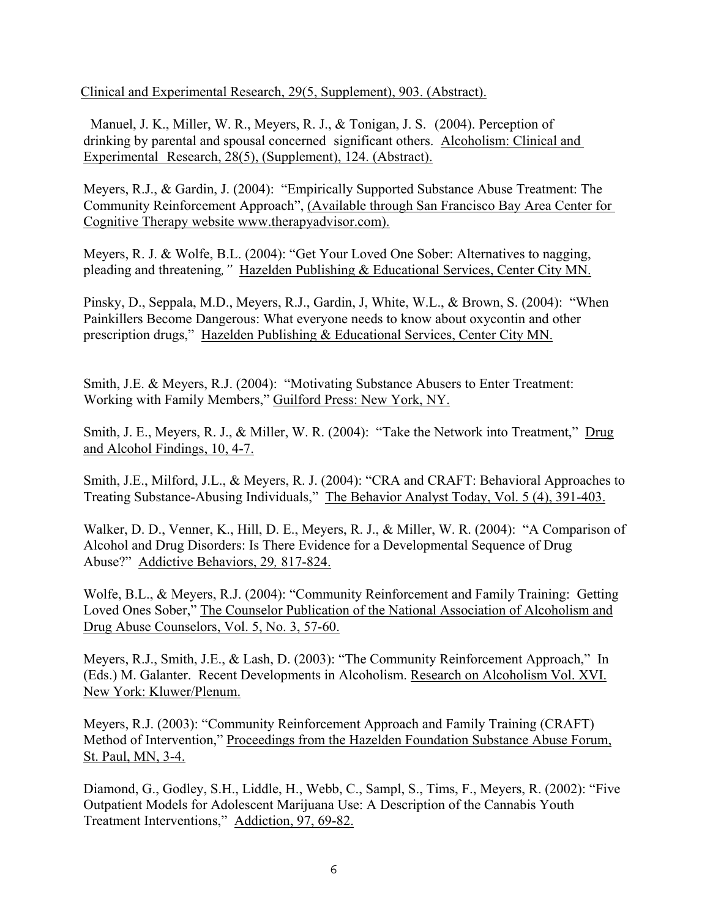Clinical and Experimental Research, 29(5, Supplement), 903. (Abstract).

 Manuel, J. K., Miller, W. R., Meyers, R. J., & Tonigan, J. S. (2004). Perception of drinking by parental and spousal concerned significant others. Alcoholism: Clinical and Experimental Research, 28(5), (Supplement), 124. (Abstract).

 Meyers, R.J., & Gardin, J. (2004): "Empirically Supported Substance Abuse Treatment: The Community Reinforcement Approach", (Available through San Francisco Bay Area Center for Cognitive Therapy website www.therapyadvisor.com).

Meyers, R. J. & Wolfe, B.L. (2004): "Get Your Loved One Sober: Alternatives to nagging, pleading and threatening*,"* Hazelden Publishing & Educational Services, Center City MN.

Pinsky, D., Seppala, M.D., Meyers, R.J., Gardin, J, White, W.L., & Brown, S. (2004): "When Painkillers Become Dangerous: What everyone needs to know about oxycontin and other prescription drugs," Hazelden Publishing & Educational Services, Center City MN.

Smith, J.E. & Meyers, R.J. (2004): "Motivating Substance Abusers to Enter Treatment: Working with Family Members," Guilford Press: New York, NY.

Smith, J. E., Meyers, R. J., & Miller, W. R. (2004): "Take the Network into Treatment," Drug and Alcohol Findings, 10, 4-7.

Smith, J.E., Milford, J.L., & Meyers, R. J. (2004): "CRA and CRAFT: Behavioral Approaches to Treating Substance-Abusing Individuals," The Behavior Analyst Today, Vol. 5 (4), 391-403.

Walker, D. D., Venner, K., Hill, D. E., Meyers, R. J., & Miller, W. R. (2004): "A Comparison of Alcohol and Drug Disorders: Is There Evidence for a Developmental Sequence of Drug Abuse?" Addictive Behaviors, 29*,* 817-824.

Wolfe, B.L., & Meyers, R.J. (2004): "Community Reinforcement and Family Training: Getting Loved Ones Sober," The Counselor Publication of the National Association of Alcoholism and Drug Abuse Counselors, Vol. 5, No. 3, 57-60.

Meyers, R.J., Smith, J.E., & Lash, D. (2003): "The Community Reinforcement Approach," In (Eds.) M. Galanter. Recent Developments in Alcoholism. Research on Alcoholism Vol. XVI. New York: Kluwer/Plenum.

Meyers, R.J. (2003): "Community Reinforcement Approach and Family Training (CRAFT) Method of Intervention," Proceedings from the Hazelden Foundation Substance Abuse Forum, St. Paul, MN, 3-4.

Diamond, G., Godley, S.H., Liddle, H., Webb, C., Sampl, S., Tims, F., Meyers, R. (2002): "Five Outpatient Models for Adolescent Marijuana Use: A Description of the Cannabis Youth Treatment Interventions," Addiction, 97, 69-82.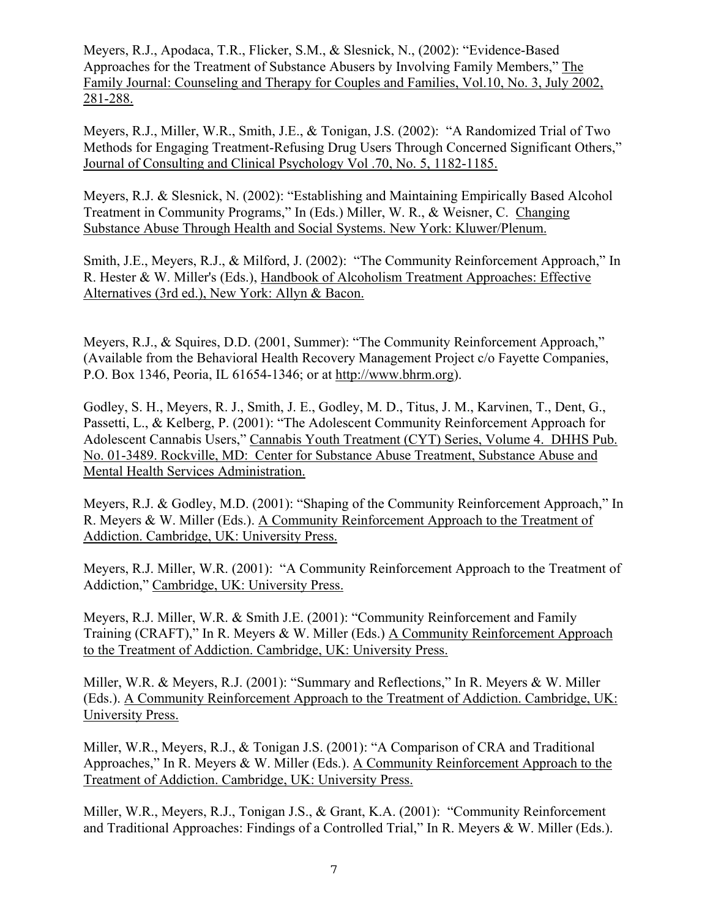Meyers, R.J., Apodaca, T.R., Flicker, S.M., & Slesnick, N., (2002): "Evidence-Based Approaches for the Treatment of Substance Abusers by Involving Family Members," The Family Journal: Counseling and Therapy for Couples and Families, Vol.10, No. 3, July 2002, 281-288.

Meyers, R.J., Miller, W.R., Smith, J.E., & Tonigan, J.S. (2002): "A Randomized Trial of Two Methods for Engaging Treatment-Refusing Drug Users Through Concerned Significant Others," Journal of Consulting and Clinical Psychology Vol .70, No. 5, 1182-1185.

Meyers, R.J. & Slesnick, N. (2002): "Establishing and Maintaining Empirically Based Alcohol Treatment in Community Programs," In (Eds.) Miller, W. R., & Weisner, C. Changing Substance Abuse Through Health and Social Systems. New York: Kluwer/Plenum.

Smith, J.E., Meyers, R.J., & Milford, J. (2002): "The Community Reinforcement Approach," In R. Hester & W. Miller's (Eds.), Handbook of Alcoholism Treatment Approaches: Effective Alternatives (3rd ed.), New York: Allyn & Bacon.

Meyers, R.J., & Squires, D.D. (2001, Summer): "The Community Reinforcement Approach," (Available from the Behavioral Health Recovery Management Project c/o Fayette Companies, P.O. Box 1346, Peoria, IL 61654-1346; or at http://www.bhrm.org).

Godley, S. H., Meyers, R. J., Smith, J. E., Godley, M. D., Titus, J. M., Karvinen, T., Dent, G., Passetti, L., & Kelberg, P. (2001): "The Adolescent Community Reinforcement Approach for Adolescent Cannabis Users," Cannabis Youth Treatment (CYT) Series, Volume 4. DHHS Pub. No. 01-3489. Rockville, MD: Center for Substance Abuse Treatment, Substance Abuse and Mental Health Services Administration.

Meyers, R.J. & Godley, M.D. (2001): "Shaping of the Community Reinforcement Approach," In R. Meyers & W. Miller (Eds.). A Community Reinforcement Approach to the Treatment of Addiction. Cambridge, UK: University Press.

Meyers, R.J. Miller, W.R. (2001): "A Community Reinforcement Approach to the Treatment of Addiction," Cambridge, UK: University Press.

Meyers, R.J. Miller, W.R. & Smith J.E. (2001): "Community Reinforcement and Family Training (CRAFT)," In R. Meyers & W. Miller (Eds.) A Community Reinforcement Approach to the Treatment of Addiction. Cambridge, UK: University Press.

Miller, W.R. & Meyers, R.J. (2001): "Summary and Reflections," In R. Meyers & W. Miller (Eds.). A Community Reinforcement Approach to the Treatment of Addiction. Cambridge, UK: University Press.

Miller, W.R., Meyers, R.J., & Tonigan J.S. (2001): "A Comparison of CRA and Traditional Approaches," In R. Meyers & W. Miller (Eds.). A Community Reinforcement Approach to the Treatment of Addiction. Cambridge, UK: University Press.

Miller, W.R., Meyers, R.J., Tonigan J.S., & Grant, K.A. (2001): "Community Reinforcement and Traditional Approaches: Findings of a Controlled Trial," In R. Meyers & W. Miller (Eds.).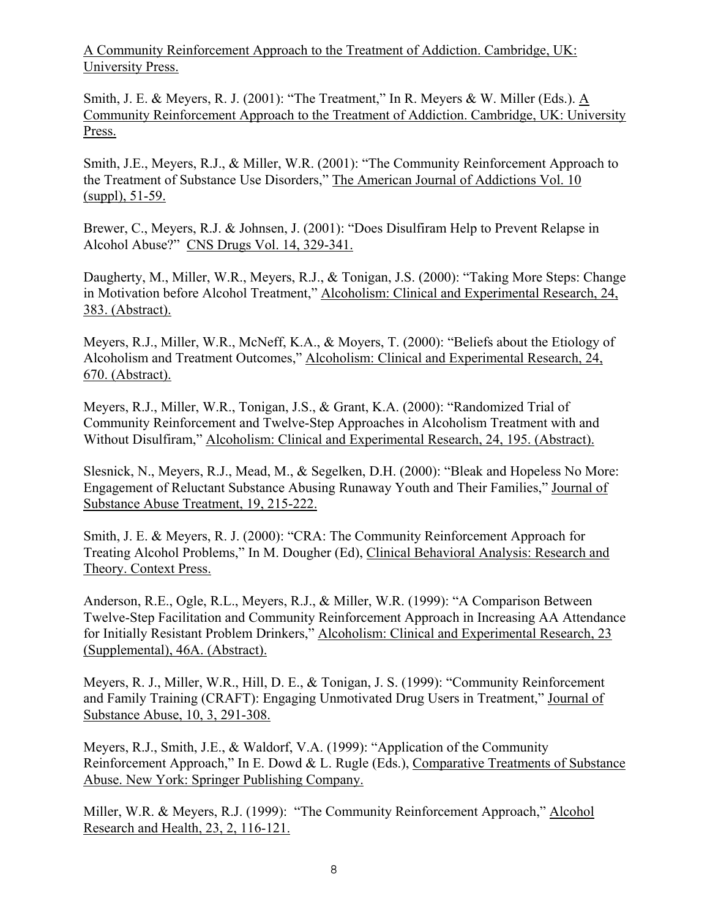A Community Reinforcement Approach to the Treatment of Addiction. Cambridge, UK: University Press.

Smith, J. E. & Meyers, R. J. (2001): "The Treatment," In R. Meyers & W. Miller (Eds.).  $\underline{A}$ Community Reinforcement Approach to the Treatment of Addiction. Cambridge, UK: University Press.

Smith, J.E., Meyers, R.J., & Miller, W.R. (2001): "The Community Reinforcement Approach to the Treatment of Substance Use Disorders," The American Journal of Addictions Vol. 10 (suppl), 51-59.

Brewer, C., Meyers, R.J. & Johnsen, J. (2001): "Does Disulfiram Help to Prevent Relapse in Alcohol Abuse?" CNS Drugs Vol.  $14, 329-341$ .

Daugherty, M., Miller, W.R., Meyers, R.J., & Tonigan, J.S. (2000): "Taking More Steps: Change in Motivation before Alcohol Treatment," Alcoholism: Clinical and Experimental Research, 24, 383. (Abstract).

Meyers, R.J., Miller, W.R., McNeff, K.A., & Moyers, T. (2000): "Beliefs about the Etiology of Alcoholism and Treatment Outcomes," Alcoholism: Clinical and Experimental Research, 24, 670. (Abstract).

Meyers, R.J., Miller, W.R., Tonigan, J.S., & Grant, K.A. (2000): "Randomized Trial of Community Reinforcement and Twelve-Step Approaches in Alcoholism Treatment with and Without Disulfiram," Alcoholism: Clinical and Experimental Research, 24, 195. (Abstract).

Slesnick, N., Meyers, R.J., Mead, M., & Segelken, D.H. (2000): "Bleak and Hopeless No More: Engagement of Reluctant Substance Abusing Runaway Youth and Their Families," Journal of Substance Abuse Treatment, 19, 215-222.

Smith, J. E. & Meyers, R. J. (2000): "CRA: The Community Reinforcement Approach for Treating Alcohol Problems," In M. Dougher (Ed), Clinical Behavioral Analysis: Research and Theory. Context Press.

Anderson, R.E., Ogle, R.L., Meyers, R.J., & Miller, W.R. (1999): "A Comparison Between Twelve-Step Facilitation and Community Reinforcement Approach in Increasing AA Attendance for Initially Resistant Problem Drinkers," Alcoholism: Clinical and Experimental Research, 23 (Supplemental), 46A. (Abstract).

Meyers, R. J., Miller, W.R., Hill, D. E., & Tonigan, J. S. (1999): "Community Reinforcement and Family Training (CRAFT): Engaging Unmotivated Drug Users in Treatment," Journal of Substance Abuse, 10, 3, 291-308.

Meyers, R.J., Smith, J.E., & Waldorf, V.A. (1999): "Application of the Community Reinforcement Approach," In E. Dowd & L. Rugle (Eds.), Comparative Treatments of Substance Abuse. New York: Springer Publishing Company.

Miller, W.R. & Meyers, R.J. (1999): "The Community Reinforcement Approach," Alcohol Research and Health, 23, 2, 116-121.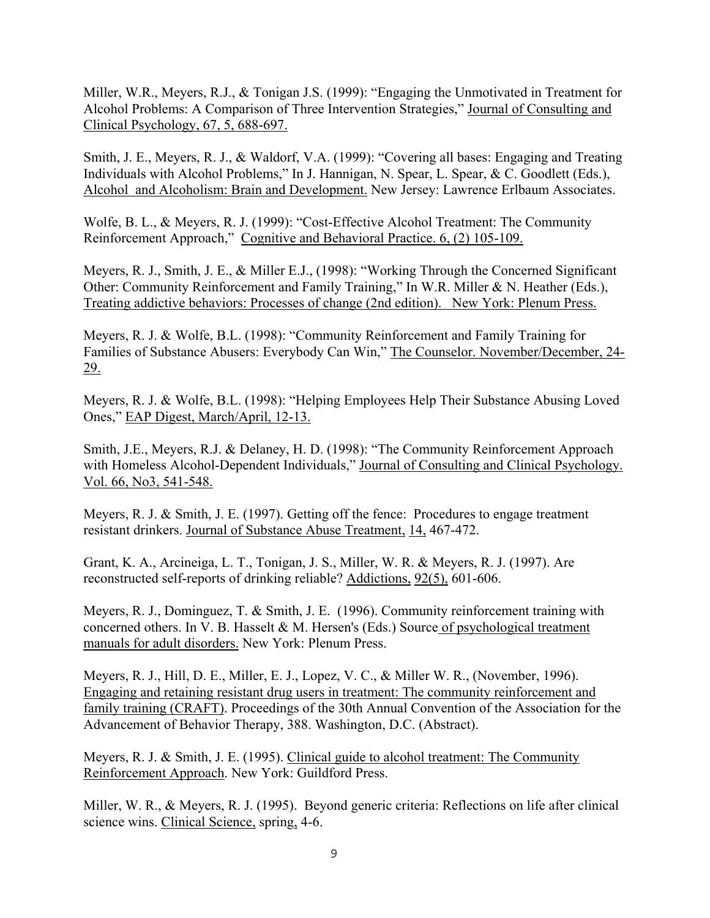Miller, W.R., Meyers, R.J., & Tonigan J.S. (1999): "Engaging the Unmotivated in Treatment for Alcohol Problems: A Comparison of Three Intervention Strategies," Journal of Consulting and Clinical Psychology, 67, 5, 688-697.

Smith, J. E., Meyers, R. J., & Waldorf, V.A. (1999): "Covering all bases: Engaging and Treating Individuals with Alcohol Problems," In J. Hannigan, N. Spear, L. Spear, & C. Goodlett (Eds.), Alcohol and Alcoholism: Brain and Development. New Jersey: Lawrence Erlbaum Associates.

Wolfe, B. L., & Meyers, R. J. (1999): "Cost-Effective Alcohol Treatment: The Community Reinforcement Approach," Cognitive and Behavioral Practice. 6, (2) 105-109.

Meyers, R. J., Smith, J. E., & Miller E.J., (1998): "Working Through the Concerned Significant Other: Community Reinforcement and Family Training," In W.R. Miller & N. Heather (Eds.), Treating addictive behaviors: Processes of change (2nd edition). New York: Plenum Press.

Meyers, R. J. & Wolfe, B.L. (1998): "Community Reinforcement and Family Training for Families of Substance Abusers: Everybody Can Win," The Counselor. November/December, 24- 29.

Meyers, R. J. & Wolfe, B.L. (1998): "Helping Employees Help Their Substance Abusing Loved Ones," EAP Digest, March/April, 12-13.

Smith, J.E., Meyers, R.J. & Delaney, H. D. (1998): "The Community Reinforcement Approach with Homeless Alcohol-Dependent Individuals," Journal of Consulting and Clinical Psychology. Vol. 66, No3, 541-548.

Meyers, R. J. & Smith, J. E. (1997). Getting off the fence: Procedures to engage treatment resistant drinkers. Journal of Substance Abuse Treatment, 14, 467-472.

Grant, K. A., Arcineiga, L. T., Tonigan, J. S., Miller, W. R. & Meyers, R. J. (1997). Are reconstructed self-reports of drinking reliable? Addictions, 92(5), 601-606.

Meyers, R. J., Dominguez, T. & Smith, J. E. (1996). Community reinforcement training with concerned others. In V. B. Hasselt & M. Hersen's (Eds.) Source of psychological treatment manuals for adult disorders. New York: Plenum Press.

Meyers, R. J., Hill, D. E., Miller, E. J., Lopez, V. C., & Miller W. R., (November, 1996). Engaging and retaining resistant drug users in treatment: The community reinforcement and family training (CRAFT). Proceedings of the 30th Annual Convention of the Association for the Advancement of Behavior Therapy, 388. Washington, D.C. (Abstract).

Meyers, R. J. & Smith, J. E. (1995). Clinical guide to alcohol treatment: The Community Reinforcement Approach. New York: Guildford Press.

Miller, W. R., & Meyers, R. J. (1995). Beyond generic criteria: Reflections on life after clinical science wins. Clinical Science, spring, 4-6.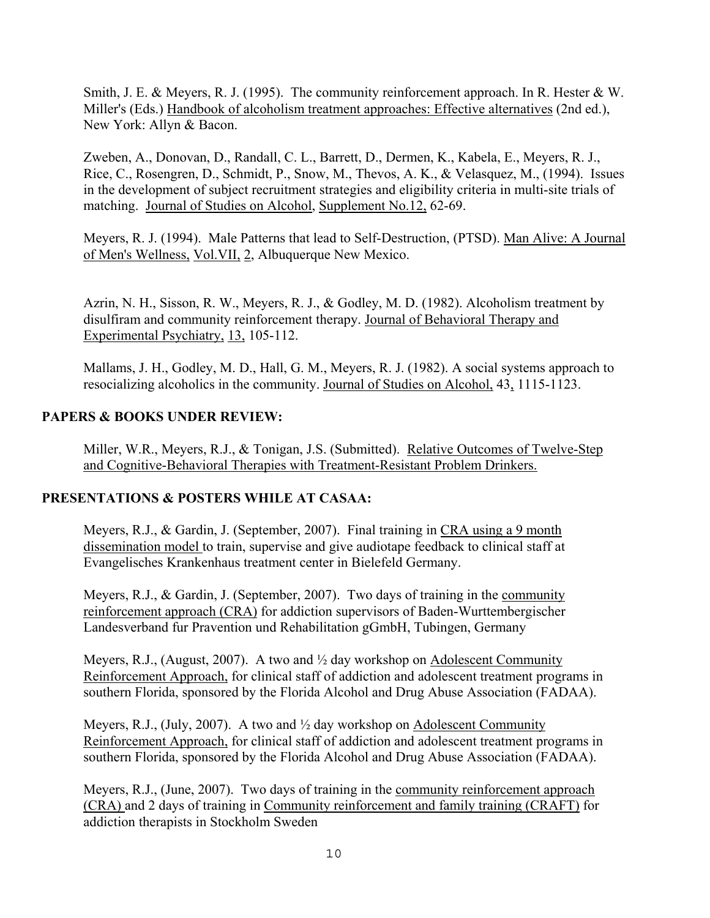Smith, J. E. & Meyers, R. J. (1995). The community reinforcement approach. In R. Hester & W. Miller's (Eds.) Handbook of alcoholism treatment approaches: Effective alternatives (2nd ed.), New York: Allyn & Bacon.

Zweben, A., Donovan, D., Randall, C. L., Barrett, D., Dermen, K., Kabela, E., Meyers, R. J., Rice, C., Rosengren, D., Schmidt, P., Snow, M., Thevos, A. K., & Velasquez, M., (1994). Issues in the development of subject recruitment strategies and eligibility criteria in multi-site trials of matching. Journal of Studies on Alcohol, Supplement No.12, 62-69.

Meyers, R. J. (1994). Male Patterns that lead to Self-Destruction, (PTSD). Man Alive: A Journal of Men's Wellness, Vol.VII, 2, Albuquerque New Mexico.

Azrin, N. H., Sisson, R. W., Meyers, R. J., & Godley, M. D. (1982). Alcoholism treatment by disulfiram and community reinforcement therapy. Journal of Behavioral Therapy and Experimental Psychiatry, 13, 105-112.

Mallams, J. H., Godley, M. D., Hall, G. M., Meyers, R. J. (1982). A social systems approach to resocializing alcoholics in the community. Journal of Studies on Alcohol, 43, 1115-1123.

# **PAPERS & BOOKS UNDER REVIEW:**

Miller, W.R., Meyers, R.J., & Tonigan, J.S. (Submitted). Relative Outcomes of Twelve-Step and Cognitive-Behavioral Therapies with Treatment-Resistant Problem Drinkers.

# **PRESENTATIONS & POSTERS WHILE AT CASAA:**

Meyers, R.J., & Gardin, J. (September, 2007). Final training in CRA using a 9 month dissemination model to train, supervise and give audiotape feedback to clinical staff at Evangelisches Krankenhaus treatment center in Bielefeld Germany.

Meyers, R.J., & Gardin, J. (September, 2007). Two days of training in the community reinforcement approach (CRA) for addiction supervisors of Baden-Wurttembergischer Landesverband fur Pravention und Rehabilitation gGmbH, Tubingen, Germany

Meyers, R.J., (August, 2007). A two and ½ day workshop on Adolescent Community Reinforcement Approach, for clinical staff of addiction and adolescent treatment programs in southern Florida, sponsored by the Florida Alcohol and Drug Abuse Association (FADAA).

Meyers, R.J., (July, 2007). A two and  $\frac{1}{2}$  day workshop on Adolescent Community Reinforcement Approach, for clinical staff of addiction and adolescent treatment programs in southern Florida, sponsored by the Florida Alcohol and Drug Abuse Association (FADAA).

Meyers, R.J., (June, 2007). Two days of training in the community reinforcement approach (CRA) and 2 days of training in Community reinforcement and family training (CRAFT) for addiction therapists in Stockholm Sweden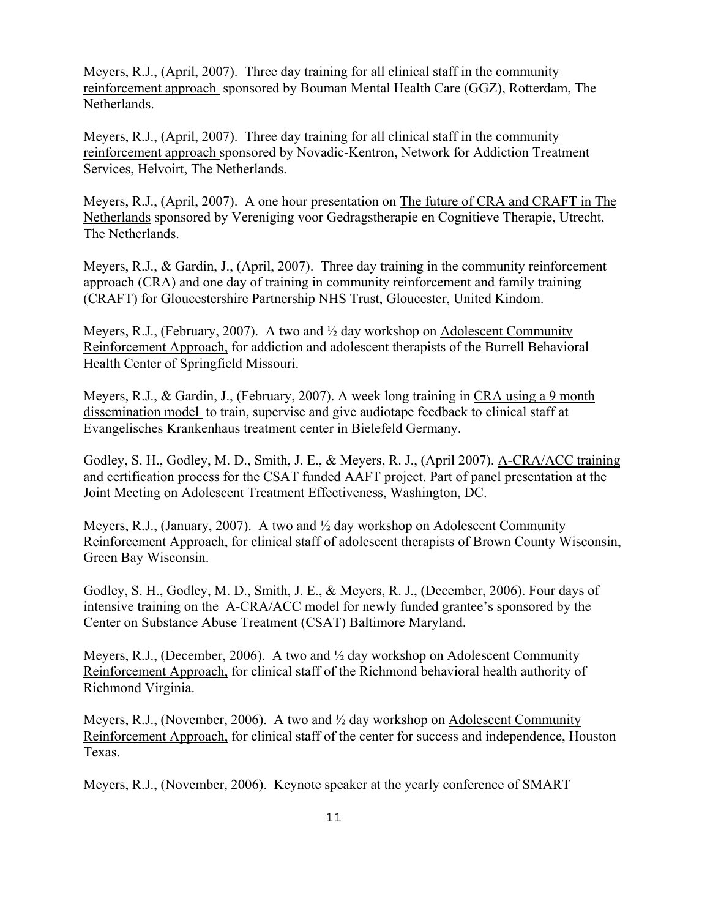Meyers, R.J., (April, 2007). Three day training for all clinical staff in the community reinforcement approach sponsored by Bouman Mental Health Care (GGZ), Rotterdam, The Netherlands.

Meyers, R.J., (April, 2007). Three day training for all clinical staff in the community reinforcement approach sponsored by Novadic-Kentron, Network for Addiction Treatment Services, Helvoirt, The Netherlands.

Meyers, R.J., (April, 2007). A one hour presentation on The future of CRA and CRAFT in The Netherlands sponsored by Vereniging voor Gedragstherapie en Cognitieve Therapie, Utrecht, The Netherlands.

Meyers, R.J., & Gardin, J., (April, 2007). Three day training in the community reinforcement approach (CRA) and one day of training in community reinforcement and family training (CRAFT) for Gloucestershire Partnership NHS Trust, Gloucester, United Kindom.

Meyers, R.J., (February, 2007). A two and ½ day workshop on Adolescent Community Reinforcement Approach, for addiction and adolescent therapists of the Burrell Behavioral Health Center of Springfield Missouri.

Meyers, R.J., & Gardin, J., (February, 2007). A week long training in CRA using a 9 month dissemination model to train, supervise and give audiotape feedback to clinical staff at Evangelisches Krankenhaus treatment center in Bielefeld Germany.

Godley, S. H., Godley, M. D., Smith, J. E., & Meyers, R. J., (April 2007). A-CRA/ACC training and certification process for the CSAT funded AAFT project. Part of panel presentation at the Joint Meeting on Adolescent Treatment Effectiveness, Washington, DC.

Meyers, R.J., (January, 2007). A two and  $\frac{1}{2}$  day workshop on Adolescent Community Reinforcement Approach, for clinical staff of adolescent therapists of Brown County Wisconsin, Green Bay Wisconsin.

Godley, S. H., Godley, M. D., Smith, J. E., & Meyers, R. J., (December, 2006). Four days of intensive training on the A-CRA/ACC model for newly funded grantee's sponsored by the Center on Substance Abuse Treatment (CSAT) Baltimore Maryland.

Meyers, R.J., (December, 2006). A two and  $\frac{1}{2}$  day workshop on Adolescent Community Reinforcement Approach, for clinical staff of the Richmond behavioral health authority of Richmond Virginia.

Meyers, R.J., (November, 2006). A two and ½ day workshop on Adolescent Community Reinforcement Approach, for clinical staff of the center for success and independence, Houston Texas.

Meyers, R.J., (November, 2006). Keynote speaker at the yearly conference of SMART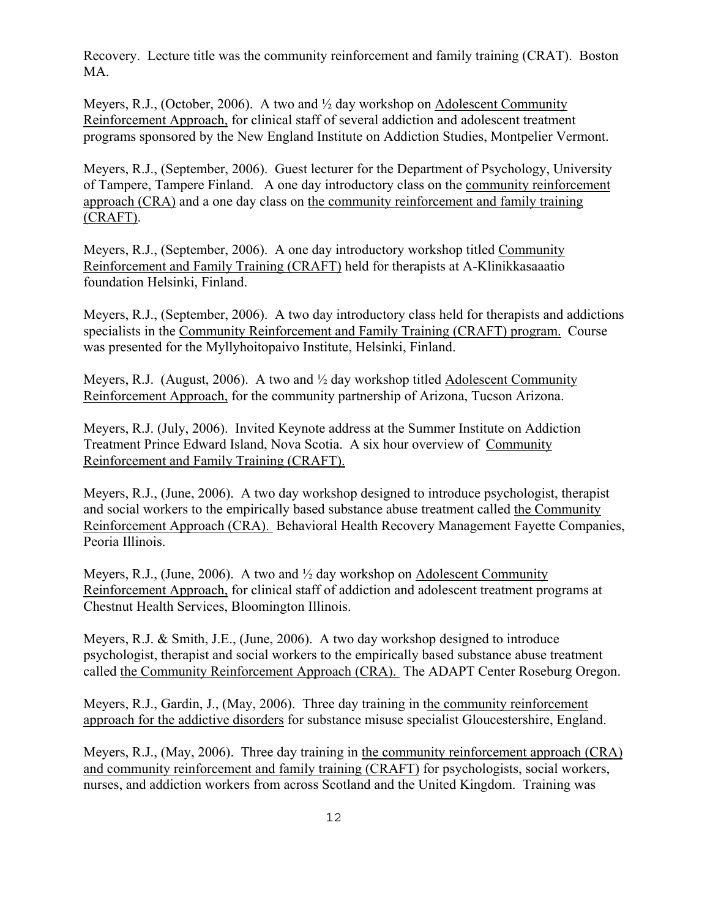Recovery. Lecture title was the community reinforcement and family training (CRAT). Boston MA.

Meyers, R.J., (October, 2006). A two and ½ day workshop on Adolescent Community Reinforcement Approach, for clinical staff of several addiction and adolescent treatment programs sponsored by the New England Institute on Addiction Studies, Montpelier Vermont.

Meyers, R.J., (September, 2006). Guest lecturer for the Department of Psychology, University of Tampere, Tampere Finland. A one day introductory class on the community reinforcement approach (CRA) and a one day class on the community reinforcement and family training (CRAFT).

Meyers, R.J., (September, 2006). A one day introductory workshop titled Community Reinforcement and Family Training (CRAFT) held for therapists at A-Klinikkasaaatio foundation Helsinki, Finland.

Meyers, R.J., (September, 2006). A two day introductory class held for therapists and addictions specialists in the Community Reinforcement and Family Training (CRAFT) program. Course was presented for the Myllyhoitopaivo Institute, Helsinki, Finland.

Meyers, R.J. (August, 2006). A two and ½ day workshop titled Adolescent Community Reinforcement Approach, for the community partnership of Arizona, Tucson Arizona.

Meyers, R.J. (July, 2006). Invited Keynote address at the Summer Institute on Addiction Treatment Prince Edward Island, Nova Scotia. A six hour overview of Community Reinforcement and Family Training (CRAFT).

Meyers, R.J., (June, 2006). A two day workshop designed to introduce psychologist, therapist and social workers to the empirically based substance abuse treatment called the Community Reinforcement Approach (CRA). Behavioral Health Recovery Management Fayette Companies, Peoria Illinois.

Meyers, R.J., (June, 2006). A two and ½ day workshop on Adolescent Community Reinforcement Approach, for clinical staff of addiction and adolescent treatment programs at Chestnut Health Services, Bloomington Illinois.

Meyers, R.J. & Smith, J.E., (June, 2006). A two day workshop designed to introduce psychologist, therapist and social workers to the empirically based substance abuse treatment called the Community Reinforcement Approach (CRA). The ADAPT Center Roseburg Oregon.

Meyers, R.J., Gardin, J., (May, 2006). Three day training in the community reinforcement approach for the addictive disorders for substance misuse specialist Gloucestershire, England.

Meyers, R.J., (May, 2006). Three day training in the community reinforcement approach (CRA) and community reinforcement and family training (CRAFT) for psychologists, social workers, nurses, and addiction workers from across Scotland and the United Kingdom. Training was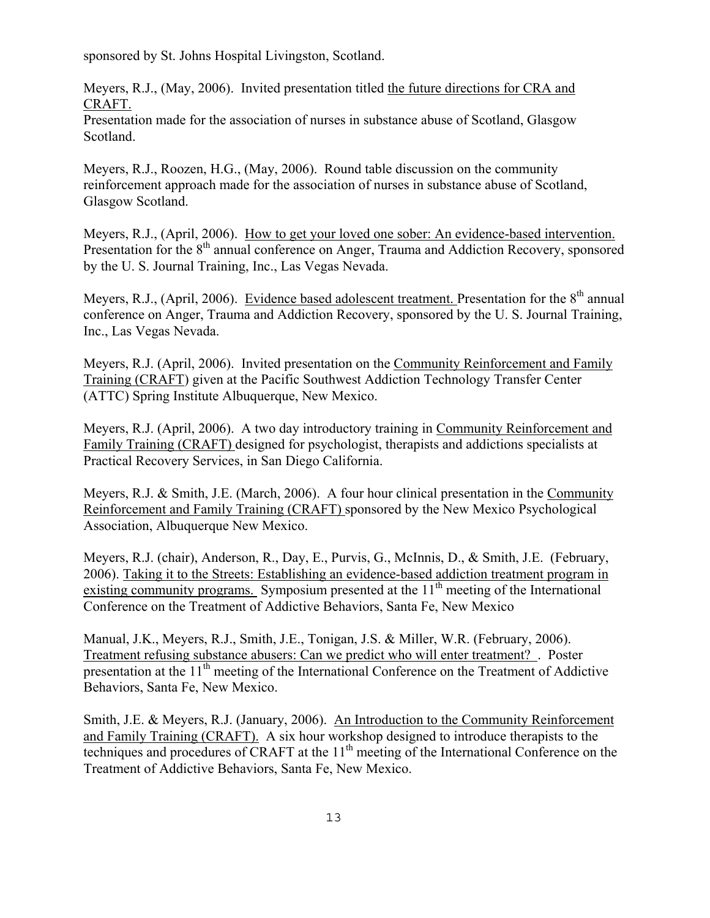sponsored by St. Johns Hospital Livingston, Scotland.

Meyers, R.J., (May, 2006). Invited presentation titled the future directions for CRA and CRAFT.

Presentation made for the association of nurses in substance abuse of Scotland, Glasgow Scotland.

Meyers, R.J., Roozen, H.G., (May, 2006). Round table discussion on the community reinforcement approach made for the association of nurses in substance abuse of Scotland, Glasgow Scotland.

Meyers, R.J., (April, 2006). How to get your loved one sober: An evidence-based intervention. Presentation for the 8<sup>th</sup> annual conference on Anger, Trauma and Addiction Recovery, sponsored by the U. S. Journal Training, Inc., Las Vegas Nevada.

Meyers, R.J., (April, 2006). Evidence based adolescent treatment. Presentation for the  $8<sup>th</sup>$  annual conference on Anger, Trauma and Addiction Recovery, sponsored by the U. S. Journal Training, Inc., Las Vegas Nevada.

Meyers, R.J. (April, 2006). Invited presentation on the Community Reinforcement and Family Training (CRAFT) given at the Pacific Southwest Addiction Technology Transfer Center (ATTC) Spring Institute Albuquerque, New Mexico.

Meyers, R.J. (April, 2006). A two day introductory training in Community Reinforcement and Family Training (CRAFT) designed for psychologist, therapists and addictions specialists at Practical Recovery Services, in San Diego California.

Meyers, R.J. & Smith, J.E. (March, 2006). A four hour clinical presentation in the Community Reinforcement and Family Training (CRAFT) sponsored by the New Mexico Psychological Association, Albuquerque New Mexico.

Meyers, R.J. (chair), Anderson, R., Day, E., Purvis, G., McInnis, D., & Smith, J.E. (February, 2006). Taking it to the Streets: Establishing an evidence-based addiction treatment program in existing community programs. Symposium presented at the  $11<sup>th</sup>$  meeting of the International Conference on the Treatment of Addictive Behaviors, Santa Fe, New Mexico

Manual, J.K., Meyers, R.J., Smith, J.E., Tonigan, J.S. & Miller, W.R. (February, 2006). Treatment refusing substance abusers: Can we predict who will enter treatment? . Poster presentation at the 11<sup>th</sup> meeting of the International Conference on the Treatment of Addictive Behaviors, Santa Fe, New Mexico.

Smith, J.E. & Meyers, R.J. (January, 2006). An Introduction to the Community Reinforcement and Family Training (CRAFT). A six hour workshop designed to introduce therapists to the techniques and procedures of CRAFT at the  $11<sup>th</sup>$  meeting of the International Conference on the Treatment of Addictive Behaviors, Santa Fe, New Mexico.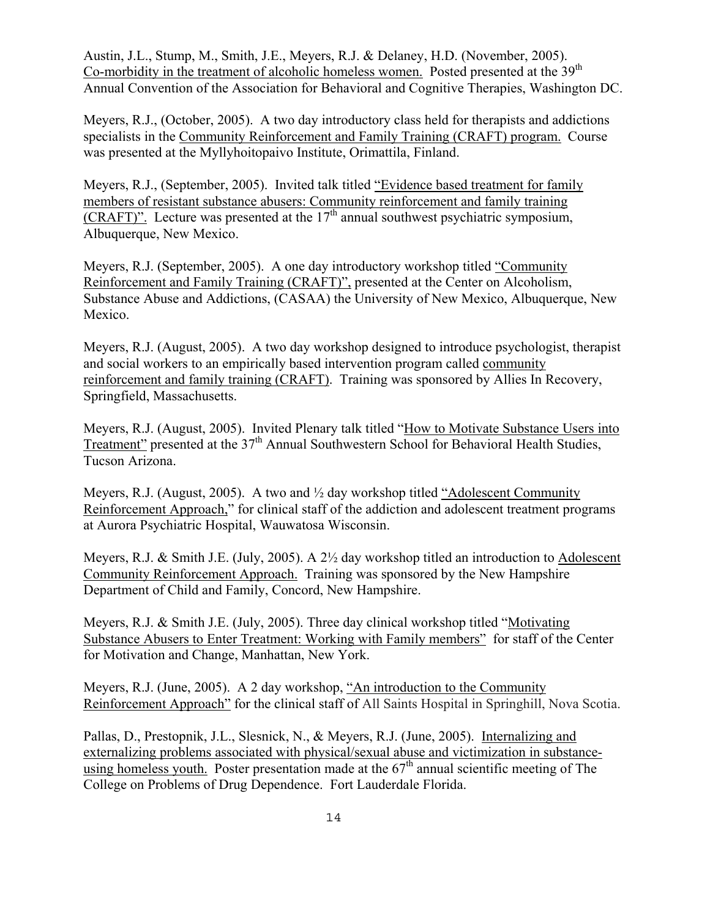Austin, J.L., Stump, M., Smith, J.E., Meyers, R.J. & Delaney, H.D. (November, 2005). Co-morbidity in the treatment of alcoholic homeless women. Posted presented at the 39<sup>th</sup> Annual Convention of the Association for Behavioral and Cognitive Therapies, Washington DC.

Meyers, R.J., (October, 2005). A two day introductory class held for therapists and addictions specialists in the Community Reinforcement and Family Training (CRAFT) program. Course was presented at the Myllyhoitopaivo Institute, Orimattila, Finland.

Meyers, R.J., (September, 2005). Invited talk titled "Evidence based treatment for family members of resistant substance abusers: Community reinforcement and family training (CRAFT)". Lecture was presented at the  $17<sup>th</sup>$  annual southwest psychiatric symposium, Albuquerque, New Mexico.

Meyers, R.J. (September, 2005). A one day introductory workshop titled "Community Reinforcement and Family Training (CRAFT)", presented at the Center on Alcoholism, Substance Abuse and Addictions, (CASAA) the University of New Mexico, Albuquerque, New Mexico.

Meyers, R.J. (August, 2005). A two day workshop designed to introduce psychologist, therapist and social workers to an empirically based intervention program called community reinforcement and family training (CRAFT). Training was sponsored by Allies In Recovery, Springfield, Massachusetts.

Meyers, R.J. (August, 2005). Invited Plenary talk titled "How to Motivate Substance Users into Treatment" presented at the 37<sup>th</sup> Annual Southwestern School for Behavioral Health Studies, Tucson Arizona.

Meyers, R.J. (August, 2005). A two and ½ day workshop titled "Adolescent Community Reinforcement Approach," for clinical staff of the addiction and adolescent treatment programs at Aurora Psychiatric Hospital, Wauwatosa Wisconsin.

Meyers, R.J. & Smith J.E. (July, 2005). A 2½ day workshop titled an introduction to Adolescent Community Reinforcement Approach. Training was sponsored by the New Hampshire Department of Child and Family, Concord, New Hampshire.

Meyers, R.J. & Smith J.E. (July, 2005). Three day clinical workshop titled "Motivating Substance Abusers to Enter Treatment: Working with Family members" for staff of the Center for Motivation and Change, Manhattan, New York.

Meyers, R.J. (June, 2005). A 2 day workshop, "An introduction to the Community Reinforcement Approach" for the clinical staff of All Saints Hospital in Springhill, Nova Scotia.

Pallas, D., Prestopnik, J.L., Slesnick, N., & Meyers, R.J. (June, 2005). Internalizing and externalizing problems associated with physical/sexual abuse and victimization in substanceusing homeless youth. Poster presentation made at the  $67<sup>th</sup>$  annual scientific meeting of The College on Problems of Drug Dependence. Fort Lauderdale Florida.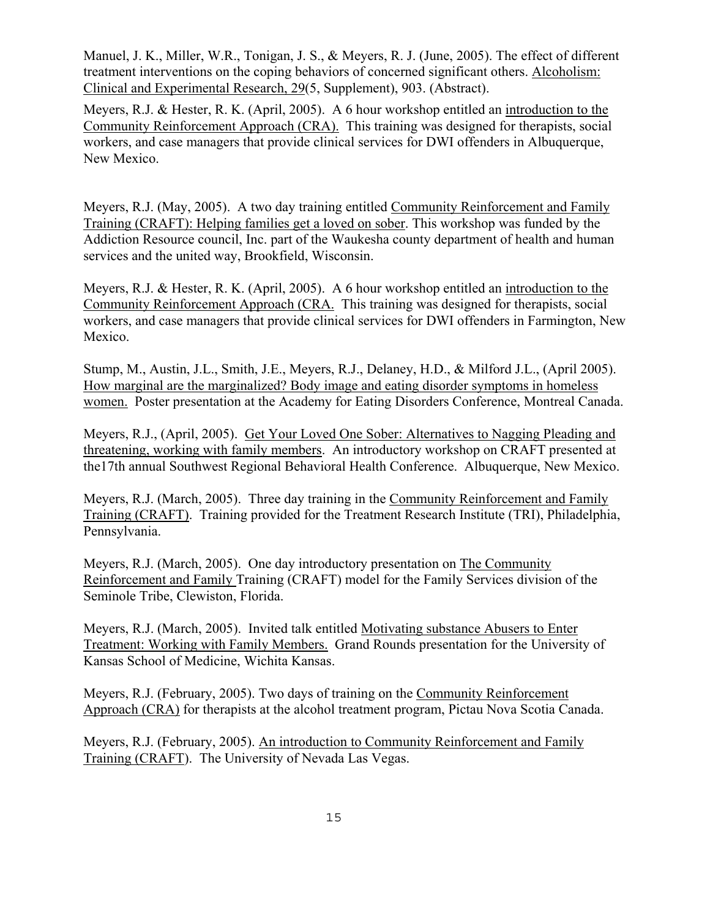Manuel, J. K., Miller, W.R., Tonigan, J. S., & Meyers, R. J. (June, 2005). The effect of different treatment interventions on the coping behaviors of concerned significant others. Alcoholism: Clinical and Experimental Research, 29(5, Supplement), 903. (Abstract).

Meyers, R.J. & Hester, R. K. (April, 2005). A 6 hour workshop entitled an introduction to the Community Reinforcement Approach (CRA). This training was designed for therapists, social workers, and case managers that provide clinical services for DWI offenders in Albuquerque, New Mexico.

Meyers, R.J. (May, 2005). A two day training entitled Community Reinforcement and Family Training (CRAFT): Helping families get a loved on sober. This workshop was funded by the Addiction Resource council, Inc. part of the Waukesha county department of health and human services and the united way, Brookfield, Wisconsin.

Meyers, R.J. & Hester, R. K. (April, 2005). A 6 hour workshop entitled an introduction to the Community Reinforcement Approach (CRA. This training was designed for therapists, social workers, and case managers that provide clinical services for DWI offenders in Farmington, New Mexico.

Stump, M., Austin, J.L., Smith, J.E., Meyers, R.J., Delaney, H.D., & Milford J.L., (April 2005). How marginal are the marginalized? Body image and eating disorder symptoms in homeless women. Poster presentation at the Academy for Eating Disorders Conference, Montreal Canada.

Meyers, R.J., (April, 2005). Get Your Loved One Sober: Alternatives to Nagging Pleading and threatening, working with family members. An introductory workshop on CRAFT presented at the17th annual Southwest Regional Behavioral Health Conference. Albuquerque, New Mexico.

Meyers, R.J. (March, 2005). Three day training in the Community Reinforcement and Family Training (CRAFT). Training provided for the Treatment Research Institute (TRI), Philadelphia, Pennsylvania.

Meyers, R.J. (March, 2005). One day introductory presentation on The Community Reinforcement and Family Training (CRAFT) model for the Family Services division of the Seminole Tribe, Clewiston, Florida.

Meyers, R.J. (March, 2005). Invited talk entitled Motivating substance Abusers to Enter Treatment: Working with Family Members. Grand Rounds presentation for the University of Kansas School of Medicine, Wichita Kansas.

Meyers, R.J. (February, 2005). Two days of training on the Community Reinforcement Approach (CRA) for therapists at the alcohol treatment program, Pictau Nova Scotia Canada.

Meyers, R.J. (February, 2005). An introduction to Community Reinforcement and Family Training (CRAFT). The University of Nevada Las Vegas.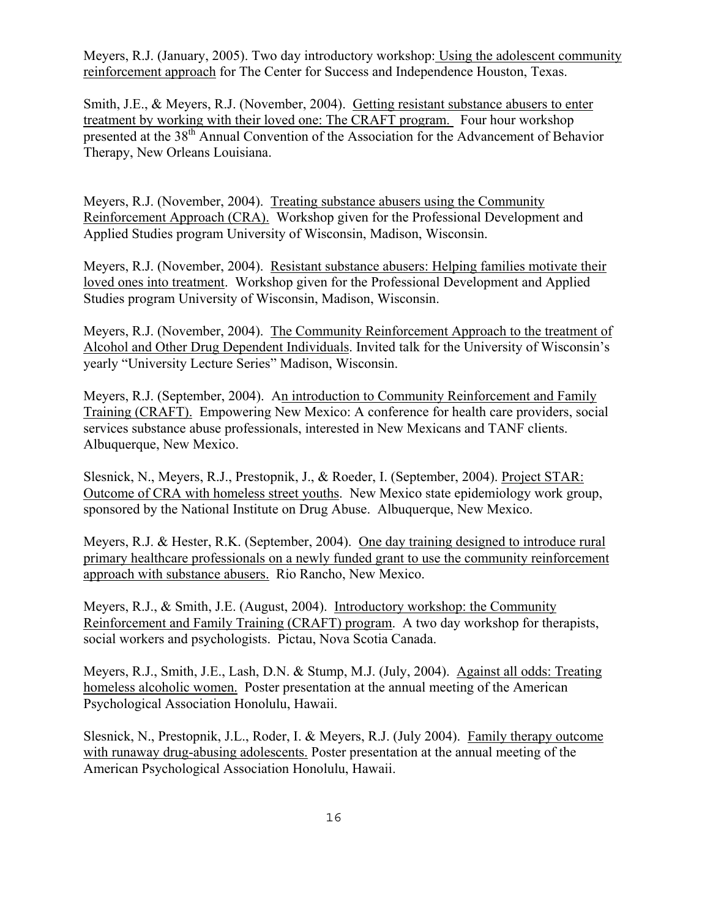Meyers, R.J. (January, 2005). Two day introductory workshop: Using the adolescent community reinforcement approach for The Center for Success and Independence Houston, Texas.

Smith, J.E., & Meyers, R.J. (November, 2004). Getting resistant substance abusers to enter treatment by working with their loved one: The CRAFT program. Four hour workshop presented at the 38<sup>th</sup> Annual Convention of the Association for the Advancement of Behavior Therapy, New Orleans Louisiana.

Meyers, R.J. (November, 2004). Treating substance abusers using the Community Reinforcement Approach (CRA). Workshop given for the Professional Development and Applied Studies program University of Wisconsin, Madison, Wisconsin.

Meyers, R.J. (November, 2004). Resistant substance abusers: Helping families motivate their loved ones into treatment. Workshop given for the Professional Development and Applied Studies program University of Wisconsin, Madison, Wisconsin.

Meyers, R.J. (November, 2004). The Community Reinforcement Approach to the treatment of Alcohol and Other Drug Dependent Individuals. Invited talk for the University of Wisconsin's yearly "University Lecture Series" Madison, Wisconsin.

Meyers, R.J. (September, 2004). An introduction to Community Reinforcement and Family Training (CRAFT). Empowering New Mexico: A conference for health care providers, social services substance abuse professionals, interested in New Mexicans and TANF clients. Albuquerque, New Mexico.

Slesnick, N., Meyers, R.J., Prestopnik, J., & Roeder, I. (September, 2004). Project STAR: Outcome of CRA with homeless street youths. New Mexico state epidemiology work group, sponsored by the National Institute on Drug Abuse. Albuquerque, New Mexico.

Meyers, R.J. & Hester, R.K. (September, 2004). One day training designed to introduce rural primary healthcare professionals on a newly funded grant to use the community reinforcement approach with substance abusers. Rio Rancho, New Mexico.

Meyers, R.J., & Smith, J.E. (August, 2004). Introductory workshop: the Community Reinforcement and Family Training (CRAFT) program. A two day workshop for therapists, social workers and psychologists. Pictau, Nova Scotia Canada.

Meyers, R.J., Smith, J.E., Lash, D.N. & Stump, M.J. (July, 2004). Against all odds: Treating homeless alcoholic women. Poster presentation at the annual meeting of the American Psychological Association Honolulu, Hawaii.

Slesnick, N., Prestopnik, J.L., Roder, I. & Meyers, R.J. (July 2004). Family therapy outcome with runaway drug-abusing adolescents. Poster presentation at the annual meeting of the American Psychological Association Honolulu, Hawaii.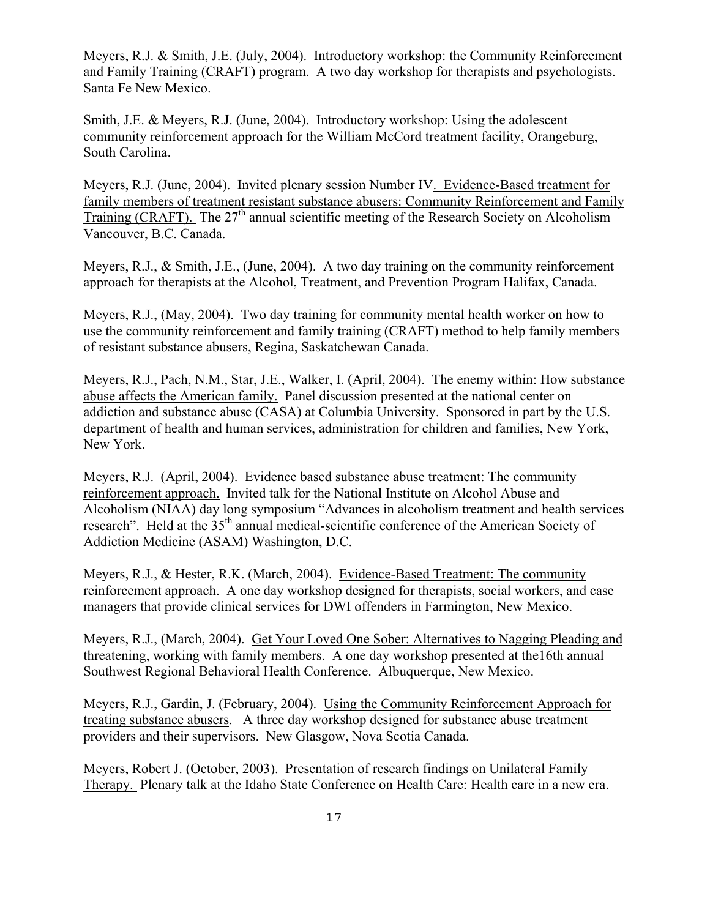Meyers, R.J. & Smith, J.E. (July, 2004). Introductory workshop: the Community Reinforcement and Family Training (CRAFT) program. A two day workshop for therapists and psychologists. Santa Fe New Mexico.

Smith, J.E. & Meyers, R.J. (June, 2004). Introductory workshop: Using the adolescent community reinforcement approach for the William McCord treatment facility, Orangeburg, South Carolina.

Meyers, R.J. (June, 2004). Invited plenary session Number IV. Evidence-Based treatment for family members of treatment resistant substance abusers: Community Reinforcement and Family Training (CRAFT). The  $27<sup>th</sup>$  annual scientific meeting of the Research Society on Alcoholism Vancouver, B.C. Canada.

Meyers, R.J., & Smith, J.E., (June, 2004). A two day training on the community reinforcement approach for therapists at the Alcohol, Treatment, and Prevention Program Halifax, Canada.

Meyers, R.J., (May, 2004). Two day training for community mental health worker on how to use the community reinforcement and family training (CRAFT) method to help family members of resistant substance abusers, Regina, Saskatchewan Canada.

Meyers, R.J., Pach, N.M., Star, J.E., Walker, I. (April, 2004). The enemy within: How substance abuse affects the American family. Panel discussion presented at the national center on addiction and substance abuse (CASA) at Columbia University. Sponsored in part by the U.S. department of health and human services, administration for children and families, New York, New York.

Meyers, R.J. (April, 2004). Evidence based substance abuse treatment: The community reinforcement approach. Invited talk for the National Institute on Alcohol Abuse and Alcoholism (NIAA) day long symposium "Advances in alcoholism treatment and health services research". Held at the 35<sup>th</sup> annual medical-scientific conference of the American Society of Addiction Medicine (ASAM) Washington, D.C.

Meyers, R.J., & Hester, R.K. (March, 2004). Evidence-Based Treatment: The community reinforcement approach. A one day workshop designed for therapists, social workers, and case managers that provide clinical services for DWI offenders in Farmington, New Mexico.

Meyers, R.J., (March, 2004). Get Your Loved One Sober: Alternatives to Nagging Pleading and threatening, working with family members. A one day workshop presented at the16th annual Southwest Regional Behavioral Health Conference. Albuquerque, New Mexico.

Meyers, R.J., Gardin, J. (February, 2004). Using the Community Reinforcement Approach for treating substance abusers. A three day workshop designed for substance abuse treatment providers and their supervisors. New Glasgow, Nova Scotia Canada.

Meyers, Robert J. (October, 2003). Presentation of research findings on Unilateral Family Therapy. Plenary talk at the Idaho State Conference on Health Care: Health care in a new era.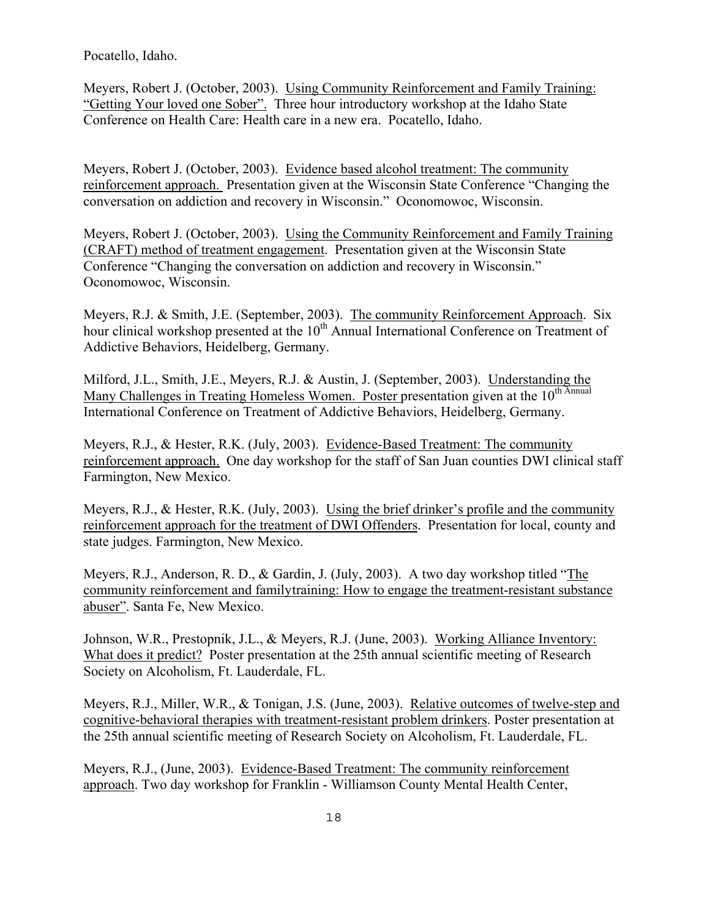Pocatello, Idaho.

Meyers, Robert J. (October, 2003). Using Community Reinforcement and Family Training: "Getting Your loved one Sober". Three hour introductory workshop at the Idaho State Conference on Health Care: Health care in a new era. Pocatello, Idaho.

Meyers, Robert J. (October, 2003). Evidence based alcohol treatment: The community reinforcement approach. Presentation given at the Wisconsin State Conference "Changing the conversation on addiction and recovery in Wisconsin." Oconomowoc, Wisconsin.

Meyers, Robert J. (October, 2003). Using the Community Reinforcement and Family Training (CRAFT) method of treatment engagement. Presentation given at the Wisconsin State Conference "Changing the conversation on addiction and recovery in Wisconsin." Oconomowoc, Wisconsin.

Meyers, R.J. & Smith, J.E. (September, 2003). The community Reinforcement Approach. Six hour clinical workshop presented at the 10<sup>th</sup> Annual International Conference on Treatment of Addictive Behaviors, Heidelberg, Germany.

Milford, J.L., Smith, J.E., Meyers, R.J. & Austin, J. (September, 2003). Understanding the Many Challenges in Treating Homeless Women. Poster presentation given at the 10<sup>th Annual</sup> International Conference on Treatment of Addictive Behaviors, Heidelberg, Germany.

Meyers, R.J., & Hester, R.K. (July, 2003). Evidence-Based Treatment: The community reinforcement approach. One day workshop for the staff of San Juan counties DWI clinical staff Farmington, New Mexico.

Meyers, R.J., & Hester, R.K. (July, 2003). Using the brief drinker's profile and the community reinforcement approach for the treatment of DWI Offenders. Presentation for local, county and state judges. Farmington, New Mexico.

Meyers, R.J., Anderson, R. D., & Gardin, J. (July, 2003). A two day workshop titled "The community reinforcement and family training: How to engage the treatment-resistant substance abuser". Santa Fe, New Mexico.

Johnson, W.R., Prestopnik, J.L., & Meyers, R.J. (June, 2003). Working Alliance Inventory: What does it predict? Poster presentation at the 25th annual scientific meeting of Research Society on Alcoholism, Ft. Lauderdale, FL.

Meyers, R.J., Miller, W.R., & Tonigan, J.S. (June, 2003). Relative outcomes of twelve-step and cognitive-behavioral therapies with treatment-resistant problem drinkers. Poster presentation at the 25th annual scientific meeting of Research Society on Alcoholism, Ft. Lauderdale, FL.

Meyers, R.J., (June, 2003). Evidence-Based Treatment: The community reinforcement approach. Two day workshop for Franklin - Williamson County Mental Health Center,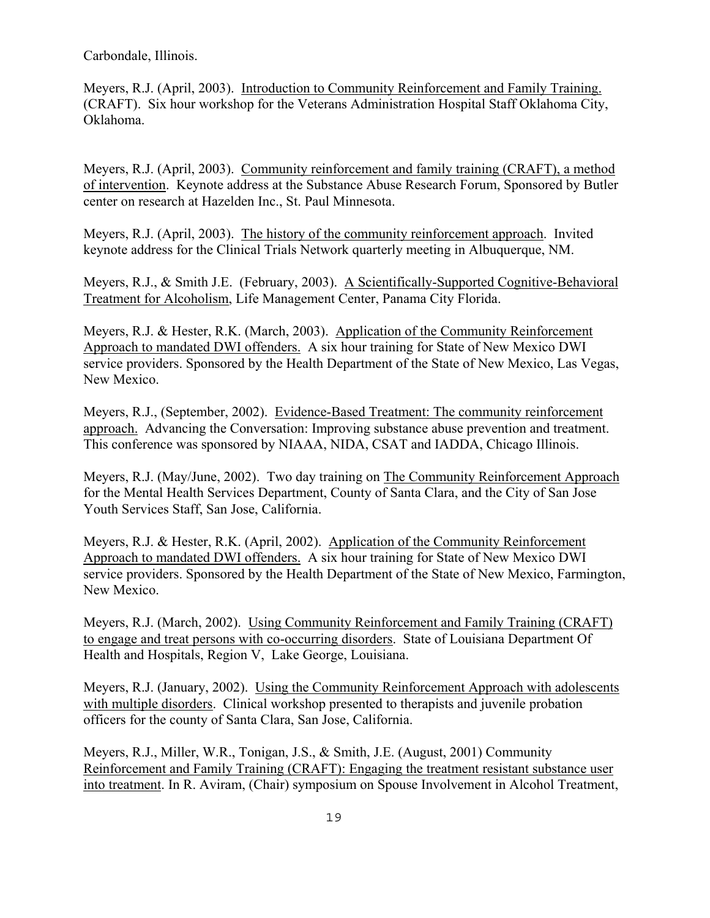Carbondale, Illinois.

Meyers, R.J. (April, 2003). Introduction to Community Reinforcement and Family Training. (CRAFT). Six hour workshop for the Veterans Administration Hospital Staff Oklahoma City, Oklahoma.

Meyers, R.J. (April, 2003). Community reinforcement and family training (CRAFT), a method of intervention. Keynote address at the Substance Abuse Research Forum, Sponsored by Butler center on research at Hazelden Inc., St. Paul Minnesota.

Meyers, R.J. (April, 2003). The history of the community reinforcement approach. Invited keynote address for the Clinical Trials Network quarterly meeting in Albuquerque, NM.

Meyers, R.J., & Smith J.E. (February, 2003). A Scientifically-Supported Cognitive-Behavioral Treatment for Alcoholism, Life Management Center, Panama City Florida.

Meyers, R.J. & Hester, R.K. (March, 2003). Application of the Community Reinforcement Approach to mandated DWI offenders. A six hour training for State of New Mexico DWI service providers. Sponsored by the Health Department of the State of New Mexico, Las Vegas, New Mexico.

Meyers, R.J., (September, 2002). Evidence-Based Treatment: The community reinforcement approach. Advancing the Conversation: Improving substance abuse prevention and treatment. This conference was sponsored by NIAAA, NIDA, CSAT and IADDA, Chicago Illinois.

Meyers, R.J. (May/June, 2002). Two day training on The Community Reinforcement Approach for the Mental Health Services Department, County of Santa Clara, and the City of San Jose Youth Services Staff, San Jose, California.

Meyers, R.J. & Hester, R.K. (April, 2002). Application of the Community Reinforcement Approach to mandated DWI offenders. A six hour training for State of New Mexico DWI service providers. Sponsored by the Health Department of the State of New Mexico, Farmington, New Mexico.

Meyers, R.J. (March, 2002). Using Community Reinforcement and Family Training (CRAFT) to engage and treat persons with co-occurring disorders. State of Louisiana Department Of Health and Hospitals, Region V, Lake George, Louisiana.

Meyers, R.J. (January, 2002). Using the Community Reinforcement Approach with adolescents with multiple disorders. Clinical workshop presented to therapists and juvenile probation officers for the county of Santa Clara, San Jose, California.

Meyers, R.J., Miller, W.R., Tonigan, J.S., & Smith, J.E. (August, 2001) Community Reinforcement and Family Training (CRAFT): Engaging the treatment resistant substance user into treatment. In R. Aviram, (Chair) symposium on Spouse Involvement in Alcohol Treatment,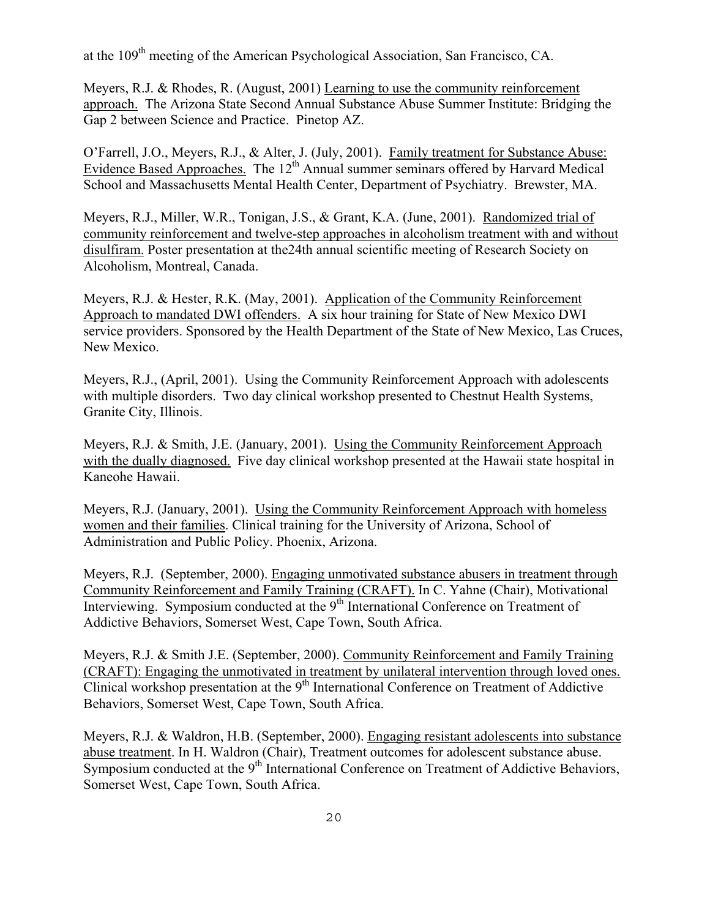at the 109th meeting of the American Psychological Association, San Francisco, CA.

Meyers, R.J. & Rhodes, R. (August, 2001) Learning to use the community reinforcement approach. The Arizona State Second Annual Substance Abuse Summer Institute: Bridging the Gap 2 between Science and Practice. Pinetop AZ.

O'Farrell, J.O., Meyers, R.J., & Alter, J. (July, 2001). Family treatment for Substance Abuse: Evidence Based Approaches. The  $12^{th}$  Annual summer seminars offered by Harvard Medical School and Massachusetts Mental Health Center, Department of Psychiatry. Brewster, MA.

Meyers, R.J., Miller, W.R., Tonigan, J.S., & Grant, K.A. (June, 2001). Randomized trial of community reinforcement and twelve-step approaches in alcoholism treatment with and without disulfiram. Poster presentation at the24th annual scientific meeting of Research Society on Alcoholism, Montreal, Canada.

Meyers, R.J. & Hester, R.K. (May, 2001). Application of the Community Reinforcement Approach to mandated DWI offenders. A six hour training for State of New Mexico DWI service providers. Sponsored by the Health Department of the State of New Mexico, Las Cruces, New Mexico.

Meyers, R.J., (April, 2001). Using the Community Reinforcement Approach with adolescents with multiple disorders. Two day clinical workshop presented to Chestnut Health Systems, Granite City, Illinois.

Meyers, R.J. & Smith, J.E. (January, 2001). Using the Community Reinforcement Approach with the dually diagnosed. Five day clinical workshop presented at the Hawaii state hospital in Kaneohe Hawaii.

Meyers, R.J. (January, 2001). Using the Community Reinforcement Approach with homeless women and their families. Clinical training for the University of Arizona, School of Administration and Public Policy. Phoenix, Arizona.

Meyers, R.J. (September, 2000). Engaging unmotivated substance abusers in treatment through Community Reinforcement and Family Training (CRAFT). In C. Yahne (Chair), Motivational Interviewing. Symposium conducted at the 9<sup>th</sup> International Conference on Treatment of Addictive Behaviors, Somerset West, Cape Town, South Africa.

Meyers, R.J. & Smith J.E. (September, 2000). Community Reinforcement and Family Training (CRAFT): Engaging the unmotivated in treatment by unilateral intervention through loved ones. Clinical workshop presentation at the 9<sup>th</sup> International Conference on Treatment of Addictive Behaviors, Somerset West, Cape Town, South Africa.

Meyers, R.J. & Waldron, H.B. (September, 2000). Engaging resistant adolescents into substance abuse treatment. In H. Waldron (Chair), Treatment outcomes for adolescent substance abuse. Symposium conducted at the 9<sup>th</sup> International Conference on Treatment of Addictive Behaviors, Somerset West, Cape Town, South Africa.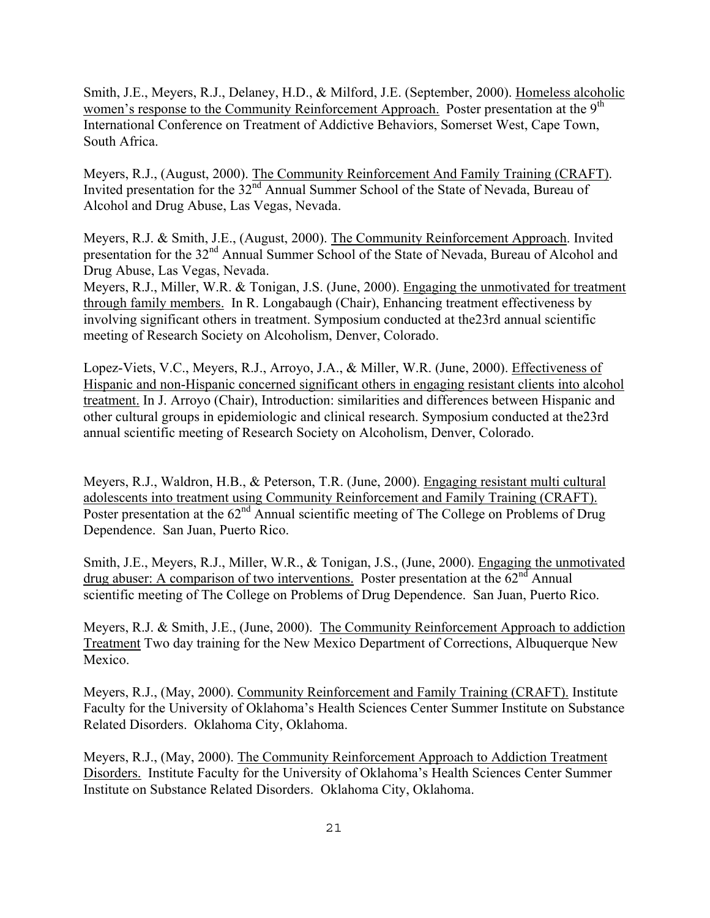Smith, J.E., Meyers, R.J., Delaney, H.D., & Milford, J.E. (September, 2000). Homeless alcoholic women's response to the Community Reinforcement Approach. Poster presentation at the 9<sup>th</sup> International Conference on Treatment of Addictive Behaviors, Somerset West, Cape Town, South Africa.

Meyers, R.J., (August, 2000). The Community Reinforcement And Family Training (CRAFT). Invited presentation for the 32<sup>nd</sup> Annual Summer School of the State of Nevada, Bureau of Alcohol and Drug Abuse, Las Vegas, Nevada.

Meyers, R.J. & Smith, J.E., (August, 2000). The Community Reinforcement Approach. Invited presentation for the 32<sup>nd</sup> Annual Summer School of the State of Nevada, Bureau of Alcohol and Drug Abuse, Las Vegas, Nevada.

Meyers, R.J., Miller, W.R. & Tonigan, J.S. (June, 2000). Engaging the unmotivated for treatment through family members. In R. Longabaugh (Chair), Enhancing treatment effectiveness by involving significant others in treatment. Symposium conducted at the23rd annual scientific meeting of Research Society on Alcoholism, Denver, Colorado.

Lopez-Viets, V.C., Meyers, R.J., Arroyo, J.A., & Miller, W.R. (June, 2000). Effectiveness of Hispanic and non-Hispanic concerned significant others in engaging resistant clients into alcohol treatment. In J. Arroyo (Chair), Introduction: similarities and differences between Hispanic and other cultural groups in epidemiologic and clinical research. Symposium conducted at the23rd annual scientific meeting of Research Society on Alcoholism, Denver, Colorado.

Meyers, R.J., Waldron, H.B., & Peterson, T.R. (June, 2000). Engaging resistant multi cultural adolescents into treatment using Community Reinforcement and Family Training (CRAFT). Poster presentation at the 62<sup>nd</sup> Annual scientific meeting of The College on Problems of Drug Dependence. San Juan, Puerto Rico.

Smith, J.E., Meyers, R.J., Miller, W.R., & Tonigan, J.S., (June, 2000). Engaging the unmotivated drug abuser: A comparison of two interventions. Poster presentation at the  $62<sup>nd</sup>$  Annual scientific meeting of The College on Problems of Drug Dependence. San Juan, Puerto Rico.

Meyers, R.J. & Smith, J.E., (June, 2000). The Community Reinforcement Approach to addiction Treatment Two day training for the New Mexico Department of Corrections, Albuquerque New Mexico.

Meyers, R.J., (May, 2000). Community Reinforcement and Family Training (CRAFT). Institute Faculty for the University of Oklahoma's Health Sciences Center Summer Institute on Substance Related Disorders. Oklahoma City, Oklahoma.

Meyers, R.J., (May, 2000). The Community Reinforcement Approach to Addiction Treatment Disorders. Institute Faculty for the University of Oklahoma's Health Sciences Center Summer Institute on Substance Related Disorders. Oklahoma City, Oklahoma.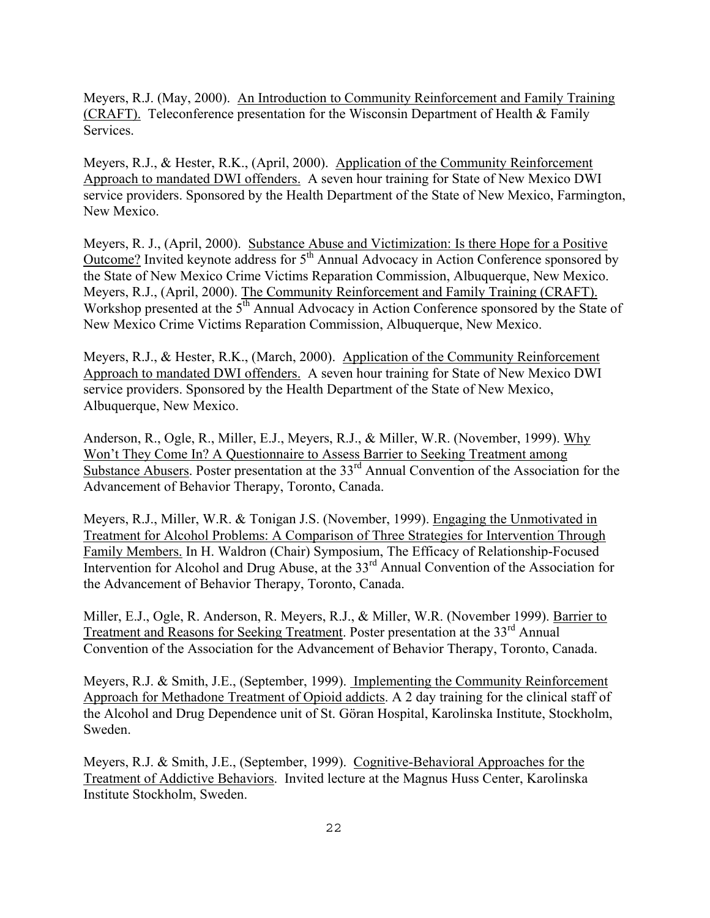Meyers, R.J. (May, 2000). An Introduction to Community Reinforcement and Family Training (CRAFT). Teleconference presentation for the Wisconsin Department of Health & Family Services.

Meyers, R.J., & Hester, R.K., (April, 2000). Application of the Community Reinforcement Approach to mandated DWI offenders. A seven hour training for State of New Mexico DWI service providers. Sponsored by the Health Department of the State of New Mexico, Farmington, New Mexico.

Meyers, R. J., (April, 2000). Substance Abuse and Victimization: Is there Hope for a Positive Outcome? Invited keynote address for  $5<sup>th</sup>$  Annual Advocacy in Action Conference sponsored by the State of New Mexico Crime Victims Reparation Commission, Albuquerque, New Mexico. Meyers, R.J., (April, 2000). The Community Reinforcement and Family Training (CRAFT). Workshop presented at the 5<sup>th</sup> Annual Advocacy in Action Conference sponsored by the State of New Mexico Crime Victims Reparation Commission, Albuquerque, New Mexico.

Meyers, R.J., & Hester, R.K., (March, 2000). Application of the Community Reinforcement Approach to mandated DWI offenders. A seven hour training for State of New Mexico DWI service providers. Sponsored by the Health Department of the State of New Mexico, Albuquerque, New Mexico.

Anderson, R., Ogle, R., Miller, E.J., Meyers, R.J., & Miller, W.R. (November, 1999). Why Won't They Come In? A Questionnaire to Assess Barrier to Seeking Treatment among Substance Abusers. Poster presentation at the 33<sup>rd</sup> Annual Convention of the Association for the Advancement of Behavior Therapy, Toronto, Canada.

Meyers, R.J., Miller, W.R. & Tonigan J.S. (November, 1999). Engaging the Unmotivated in Treatment for Alcohol Problems: A Comparison of Three Strategies for Intervention Through Family Members. In H. Waldron (Chair) Symposium, The Efficacy of Relationship-Focused Intervention for Alcohol and Drug Abuse, at the 33<sup>rd</sup> Annual Convention of the Association for the Advancement of Behavior Therapy, Toronto, Canada.

Miller, E.J., Ogle, R. Anderson, R. Meyers, R.J., & Miller, W.R. (November 1999). Barrier to Treatment and Reasons for Seeking Treatment. Poster presentation at the 33<sup>rd</sup> Annual Convention of the Association for the Advancement of Behavior Therapy, Toronto, Canada.

Meyers, R.J. & Smith, J.E., (September, 1999). Implementing the Community Reinforcement Approach for Methadone Treatment of Opioid addicts. A 2 day training for the clinical staff of the Alcohol and Drug Dependence unit of St. Göran Hospital, Karolinska Institute, Stockholm, Sweden.

Meyers, R.J. & Smith, J.E., (September, 1999). Cognitive-Behavioral Approaches for the Treatment of Addictive Behaviors. Invited lecture at the Magnus Huss Center, Karolinska Institute Stockholm, Sweden.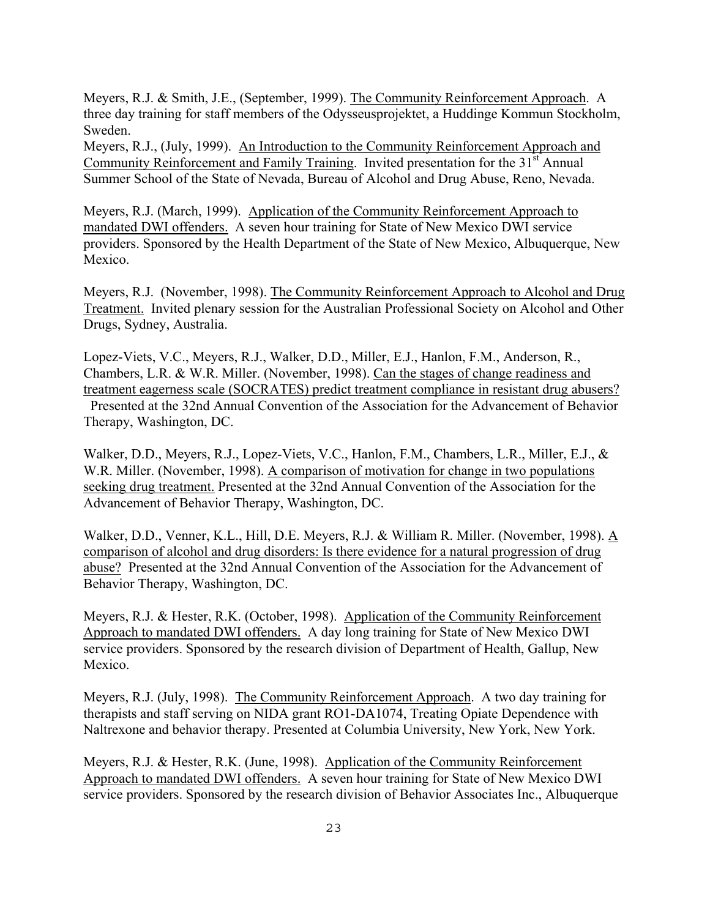Meyers, R.J. & Smith, J.E., (September, 1999). The Community Reinforcement Approach. A three day training for staff members of the Odysseusprojektet, a Huddinge Kommun Stockholm, Sweden.

Meyers, R.J., (July, 1999). An Introduction to the Community Reinforcement Approach and Community Reinforcement and Family Training. Invited presentation for the 31<sup>st</sup> Annual Summer School of the State of Nevada, Bureau of Alcohol and Drug Abuse, Reno, Nevada.

Meyers, R.J. (March, 1999). Application of the Community Reinforcement Approach to mandated DWI offenders. A seven hour training for State of New Mexico DWI service providers. Sponsored by the Health Department of the State of New Mexico, Albuquerque, New Mexico.

Meyers, R.J. (November, 1998). The Community Reinforcement Approach to Alcohol and Drug Treatment. Invited plenary session for the Australian Professional Society on Alcohol and Other Drugs, Sydney, Australia.

Lopez-Viets, V.C., Meyers, R.J., Walker, D.D., Miller, E.J., Hanlon, F.M., Anderson, R., Chambers, L.R. & W.R. Miller. (November, 1998). Can the stages of change readiness and treatment eagerness scale (SOCRATES) predict treatment compliance in resistant drug abusers? Presented at the 32nd Annual Convention of the Association for the Advancement of Behavior Therapy, Washington, DC.

Walker, D.D., Meyers, R.J., Lopez-Viets, V.C., Hanlon, F.M., Chambers, L.R., Miller, E.J., & W.R. Miller. (November, 1998). A comparison of motivation for change in two populations seeking drug treatment. Presented at the 32nd Annual Convention of the Association for the Advancement of Behavior Therapy, Washington, DC.

Walker, D.D., Venner, K.L., Hill, D.E. Meyers, R.J. & William R. Miller. (November, 1998). A comparison of alcohol and drug disorders: Is there evidence for a natural progression of drug abuse? Presented at the 32nd Annual Convention of the Association for the Advancement of Behavior Therapy, Washington, DC.

Meyers, R.J. & Hester, R.K. (October, 1998). Application of the Community Reinforcement Approach to mandated DWI offenders. A day long training for State of New Mexico DWI service providers. Sponsored by the research division of Department of Health, Gallup, New Mexico.

Meyers, R.J. (July, 1998). The Community Reinforcement Approach. A two day training for therapists and staff serving on NIDA grant RO1-DA1074, Treating Opiate Dependence with Naltrexone and behavior therapy. Presented at Columbia University, New York, New York.

Meyers, R.J. & Hester, R.K. (June, 1998). Application of the Community Reinforcement Approach to mandated DWI offenders. A seven hour training for State of New Mexico DWI service providers. Sponsored by the research division of Behavior Associates Inc., Albuquerque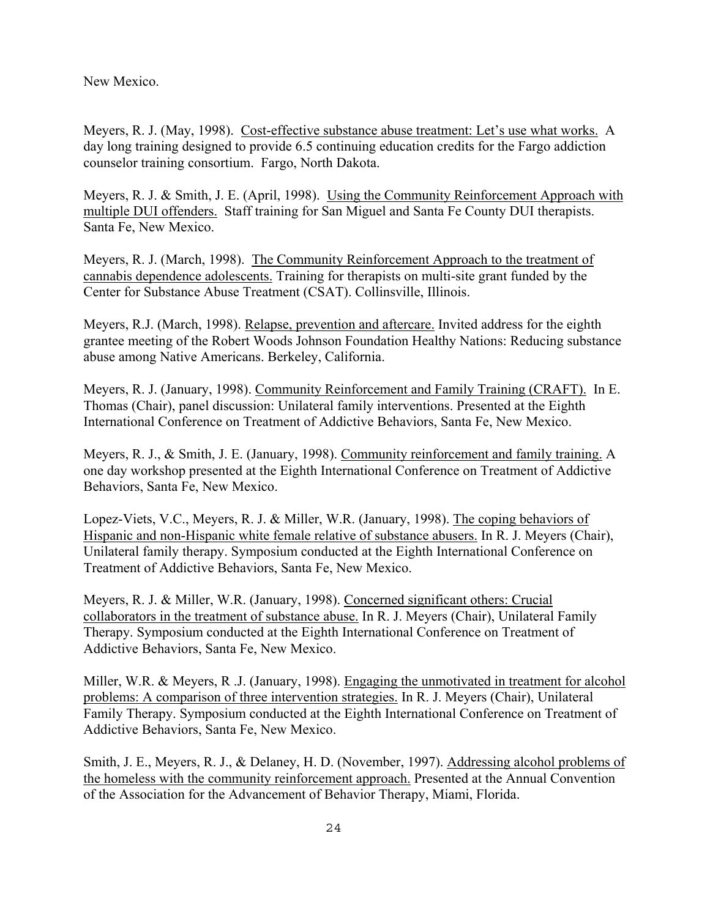New Mexico.

Meyers, R. J. (May, 1998). Cost-effective substance abuse treatment: Let's use what works. A day long training designed to provide 6.5 continuing education credits for the Fargo addiction counselor training consortium. Fargo, North Dakota.

Meyers, R. J. & Smith, J. E. (April, 1998). Using the Community Reinforcement Approach with multiple DUI offenders. Staff training for San Miguel and Santa Fe County DUI therapists. Santa Fe, New Mexico.

Meyers, R. J. (March, 1998). The Community Reinforcement Approach to the treatment of cannabis dependence adolescents. Training for therapists on multi-site grant funded by the Center for Substance Abuse Treatment (CSAT). Collinsville, Illinois.

Meyers, R.J. (March, 1998). Relapse, prevention and aftercare. Invited address for the eighth grantee meeting of the Robert Woods Johnson Foundation Healthy Nations: Reducing substance abuse among Native Americans. Berkeley, California.

Meyers, R. J. (January, 1998). Community Reinforcement and Family Training (CRAFT). In E. Thomas (Chair), panel discussion: Unilateral family interventions. Presented at the Eighth International Conference on Treatment of Addictive Behaviors, Santa Fe, New Mexico.

Meyers, R. J., & Smith, J. E. (January, 1998). Community reinforcement and family training. A one day workshop presented at the Eighth International Conference on Treatment of Addictive Behaviors, Santa Fe, New Mexico.

Lopez-Viets, V.C., Meyers, R. J. & Miller, W.R. (January, 1998). The coping behaviors of Hispanic and non-Hispanic white female relative of substance abusers. In R. J. Meyers (Chair), Unilateral family therapy. Symposium conducted at the Eighth International Conference on Treatment of Addictive Behaviors, Santa Fe, New Mexico.

Meyers, R. J. & Miller, W.R. (January, 1998). Concerned significant others: Crucial collaborators in the treatment of substance abuse. In R. J. Meyers (Chair), Unilateral Family Therapy. Symposium conducted at the Eighth International Conference on Treatment of Addictive Behaviors, Santa Fe, New Mexico.

Miller, W.R. & Meyers, R .J. (January, 1998). Engaging the unmotivated in treatment for alcohol problems: A comparison of three intervention strategies. In R. J. Meyers (Chair), Unilateral Family Therapy. Symposium conducted at the Eighth International Conference on Treatment of Addictive Behaviors, Santa Fe, New Mexico.

Smith, J. E., Meyers, R. J., & Delaney, H. D. (November, 1997). Addressing alcohol problems of the homeless with the community reinforcement approach. Presented at the Annual Convention of the Association for the Advancement of Behavior Therapy, Miami, Florida.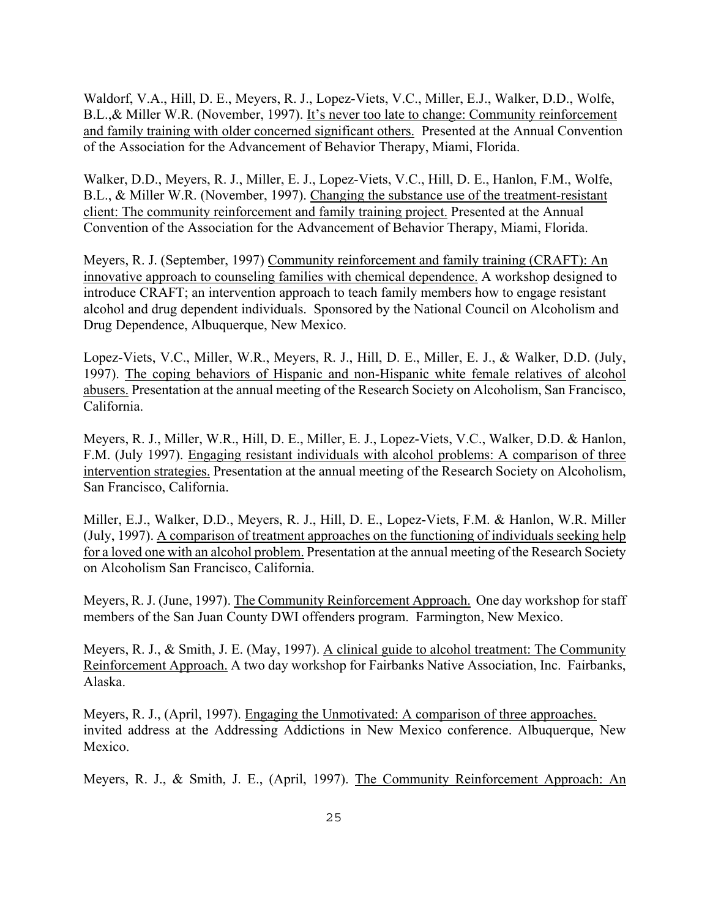Waldorf, V.A., Hill, D. E., Meyers, R. J., Lopez-Viets, V.C., Miller, E.J., Walker, D.D., Wolfe, B.L., & Miller W.R. (November, 1997). It's never too late to change: Community reinforcement and family training with older concerned significant others. Presented at the Annual Convention of the Association for the Advancement of Behavior Therapy, Miami, Florida.

Walker, D.D., Meyers, R. J., Miller, E. J., Lopez-Viets, V.C., Hill, D. E., Hanlon, F.M., Wolfe, B.L., & Miller W.R. (November, 1997). Changing the substance use of the treatment-resistant client: The community reinforcement and family training project. Presented at the Annual Convention of the Association for the Advancement of Behavior Therapy, Miami, Florida.

Meyers, R. J. (September, 1997) Community reinforcement and family training (CRAFT): An innovative approach to counseling families with chemical dependence. A workshop designed to introduce CRAFT; an intervention approach to teach family members how to engage resistant alcohol and drug dependent individuals. Sponsored by the National Council on Alcoholism and Drug Dependence, Albuquerque, New Mexico.

Lopez-Viets, V.C., Miller, W.R., Meyers, R. J., Hill, D. E., Miller, E. J., & Walker, D.D. (July, 1997). The coping behaviors of Hispanic and non-Hispanic white female relatives of alcohol abusers. Presentation at the annual meeting of the Research Society on Alcoholism, San Francisco, California.

Meyers, R. J., Miller, W.R., Hill, D. E., Miller, E. J., Lopez-Viets, V.C., Walker, D.D. & Hanlon, F.M. (July 1997). Engaging resistant individuals with alcohol problems: A comparison of three intervention strategies. Presentation at the annual meeting of the Research Society on Alcoholism, San Francisco, California.

Miller, E.J., Walker, D.D., Meyers, R. J., Hill, D. E., Lopez-Viets, F.M. & Hanlon, W.R. Miller (July, 1997). A comparison of treatment approaches on the functioning of individuals seeking help for a loved one with an alcohol problem. Presentation at the annual meeting of the Research Society on Alcoholism San Francisco, California.

Meyers, R. J. (June, 1997). The Community Reinforcement Approach. One day workshop for staff members of the San Juan County DWI offenders program. Farmington, New Mexico.

Meyers, R. J., & Smith, J. E. (May, 1997). A clinical guide to alcohol treatment: The Community Reinforcement Approach. A two day workshop for Fairbanks Native Association, Inc. Fairbanks, Alaska.

Meyers, R. J., (April, 1997). Engaging the Unmotivated: A comparison of three approaches. invited address at the Addressing Addictions in New Mexico conference. Albuquerque, New Mexico.

Meyers, R. J., & Smith, J. E., (April, 1997). The Community Reinforcement Approach: An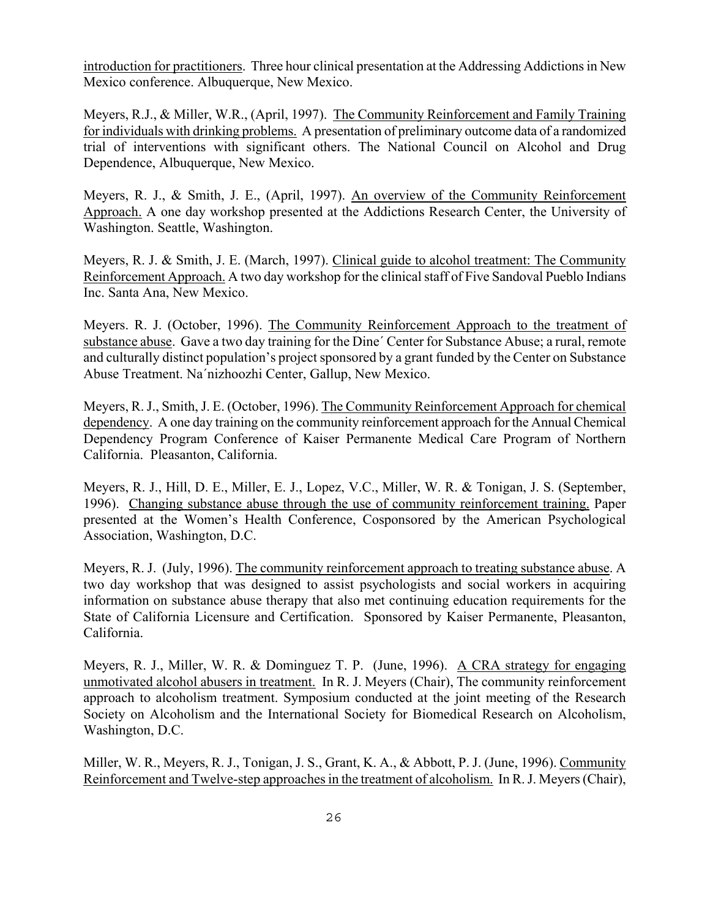introduction for practitioners. Three hour clinical presentation at the Addressing Addictions in New Mexico conference. Albuquerque, New Mexico.

Meyers, R.J., & Miller, W.R., (April, 1997). The Community Reinforcement and Family Training for individuals with drinking problems. A presentation of preliminary outcome data of a randomized trial of interventions with significant others. The National Council on Alcohol and Drug Dependence, Albuquerque, New Mexico.

Meyers, R. J., & Smith, J. E., (April, 1997). An overview of the Community Reinforcement Approach. A one day workshop presented at the Addictions Research Center, the University of Washington. Seattle, Washington.

Meyers, R. J. & Smith, J. E. (March, 1997). Clinical guide to alcohol treatment: The Community Reinforcement Approach. A two day workshop for the clinical staff of Five Sandoval Pueblo Indians Inc. Santa Ana, New Mexico.

Meyers. R. J. (October, 1996). The Community Reinforcement Approach to the treatment of substance abuse. Gave a two day training for the Dine´ Center for Substance Abuse; a rural, remote and culturally distinct population's project sponsored by a grant funded by the Center on Substance Abuse Treatment. Na´nizhoozhi Center, Gallup, New Mexico.

Meyers, R. J., Smith, J. E. (October, 1996). The Community Reinforcement Approach for chemical dependency. A one day training on the community reinforcement approach for the Annual Chemical Dependency Program Conference of Kaiser Permanente Medical Care Program of Northern California. Pleasanton, California.

Meyers, R. J., Hill, D. E., Miller, E. J., Lopez, V.C., Miller, W. R. & Tonigan, J. S. (September, 1996). Changing substance abuse through the use of community reinforcement training. Paper presented at the Women's Health Conference, Cosponsored by the American Psychological Association, Washington, D.C.

Meyers, R. J. (July, 1996). The community reinforcement approach to treating substance abuse. A two day workshop that was designed to assist psychologists and social workers in acquiring information on substance abuse therapy that also met continuing education requirements for the State of California Licensure and Certification. Sponsored by Kaiser Permanente, Pleasanton, California.

Meyers, R. J., Miller, W. R. & Dominguez T. P. (June, 1996). A CRA strategy for engaging unmotivated alcohol abusers in treatment. In R. J. Meyers (Chair), The community reinforcement approach to alcoholism treatment. Symposium conducted at the joint meeting of the Research Society on Alcoholism and the International Society for Biomedical Research on Alcoholism, Washington, D.C.

Miller, W. R., Meyers, R. J., Tonigan, J. S., Grant, K. A., & Abbott, P. J. (June, 1996). Community Reinforcement and Twelve-step approaches in the treatment of alcoholism. In R. J. Meyers (Chair),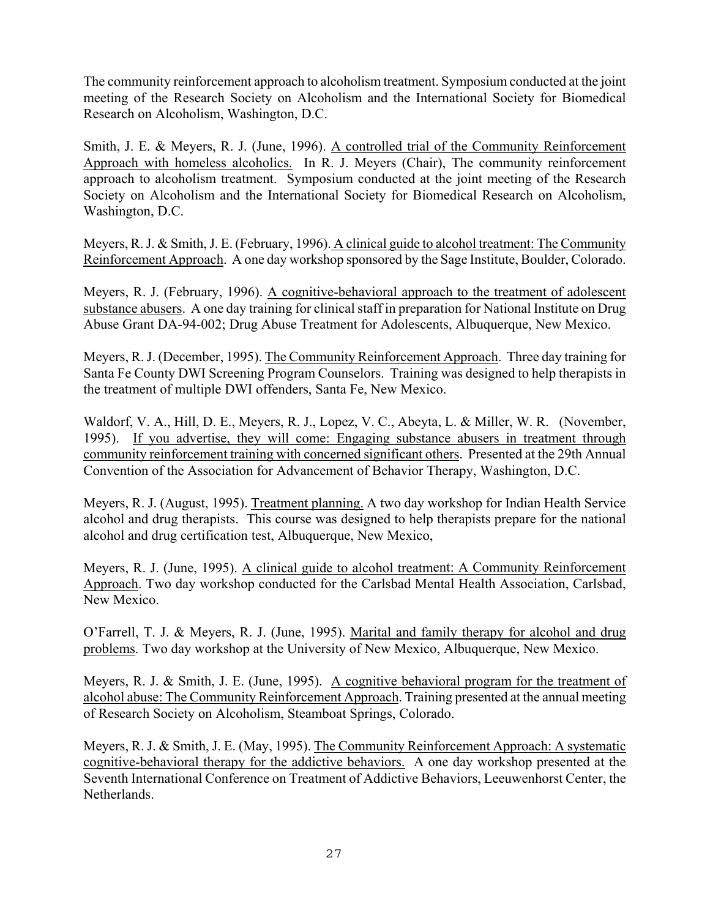The community reinforcement approach to alcoholism treatment. Symposium conducted at the joint meeting of the Research Society on Alcoholism and the International Society for Biomedical Research on Alcoholism, Washington, D.C.

Smith, J. E. & Meyers, R. J. (June, 1996). A controlled trial of the Community Reinforcement Approach with homeless alcoholics. In R. J. Meyers (Chair), The community reinforcement approach to alcoholism treatment. Symposium conducted at the joint meeting of the Research Society on Alcoholism and the International Society for Biomedical Research on Alcoholism, Washington, D.C.

Meyers, R. J. & Smith, J. E. (February, 1996). A clinical guide to alcohol treatment: The Community Reinforcement Approach. A one day workshop sponsored by the Sage Institute, Boulder, Colorado.

Meyers, R. J. (February, 1996). A cognitive-behavioral approach to the treatment of adolescent substance abusers. A one day training for clinical staff in preparation for National Institute on Drug Abuse Grant DA-94-002; Drug Abuse Treatment for Adolescents, Albuquerque, New Mexico.

Meyers, R. J. (December, 1995). The Community Reinforcement Approach. Three day training for Santa Fe County DWI Screening Program Counselors. Training was designed to help therapists in the treatment of multiple DWI offenders, Santa Fe, New Mexico.

Waldorf, V. A., Hill, D. E., Meyers, R. J., Lopez, V. C., Abeyta, L. & Miller, W. R. (November, 1995). If you advertise, they will come: Engaging substance abusers in treatment through community reinforcement training with concerned significant others. Presented at the 29th Annual Convention of the Association for Advancement of Behavior Therapy, Washington, D.C.

Meyers, R. J. (August, 1995). Treatment planning. A two day workshop for Indian Health Service alcohol and drug therapists. This course was designed to help therapists prepare for the national alcohol and drug certification test, Albuquerque, New Mexico,

Meyers, R. J. (June, 1995). A clinical guide to alcohol treatment: A Community Reinforcement Approach. Two day workshop conducted for the Carlsbad Mental Health Association, Carlsbad, New Mexico.

O'Farrell, T. J. & Meyers, R. J. (June, 1995). Marital and family therapy for alcohol and drug problems. Two day workshop at the University of New Mexico, Albuquerque, New Mexico.

Meyers, R. J. & Smith, J. E. (June, 1995). A cognitive behavioral program for the treatment of alcohol abuse: The Community Reinforcement Approach. Training presented at the annual meeting of Research Society on Alcoholism, Steamboat Springs, Colorado.

Meyers, R. J. & Smith, J. E. (May, 1995). The Community Reinforcement Approach: A systematic cognitive-behavioral therapy for the addictive behaviors. A one day workshop presented at the Seventh International Conference on Treatment of Addictive Behaviors, Leeuwenhorst Center, the Netherlands.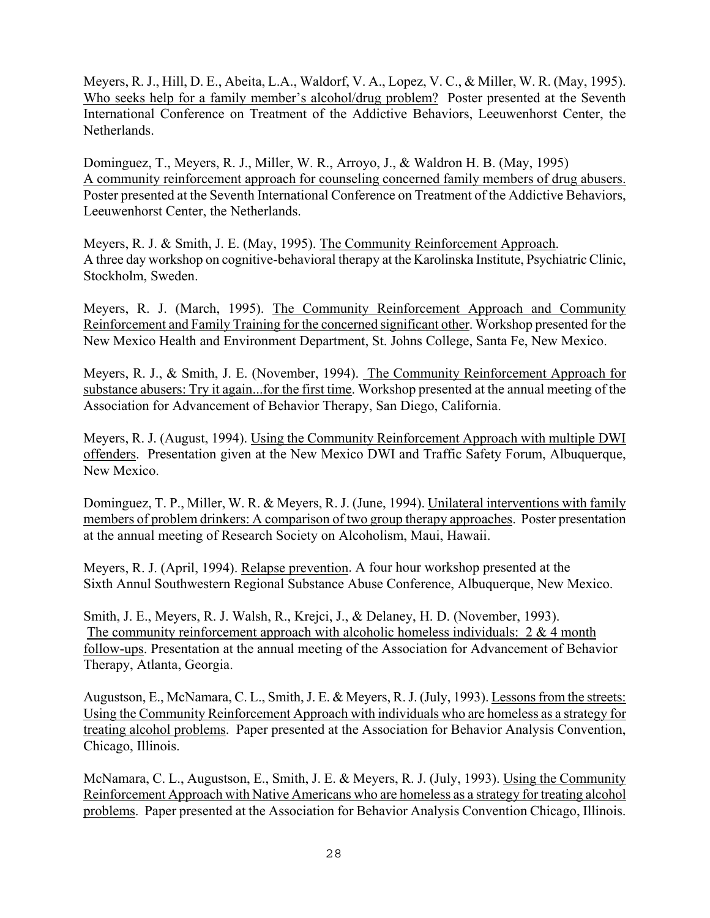Meyers, R. J., Hill, D. E., Abeita, L.A., Waldorf, V. A., Lopez, V. C., & Miller, W. R. (May, 1995). Who seeks help for a family member's alcohol/drug problem? Poster presented at the Seventh International Conference on Treatment of the Addictive Behaviors, Leeuwenhorst Center, the Netherlands.

Dominguez, T., Meyers, R. J., Miller, W. R., Arroyo, J., & Waldron H. B. (May, 1995) A community reinforcement approach for counseling concerned family members of drug abusers. Poster presented at the Seventh International Conference on Treatment of the Addictive Behaviors, Leeuwenhorst Center, the Netherlands.

Meyers, R. J. & Smith, J. E. (May, 1995). The Community Reinforcement Approach. A three day workshop on cognitive-behavioral therapy at the Karolinska Institute, Psychiatric Clinic, Stockholm, Sweden.

Meyers, R. J. (March, 1995). The Community Reinforcement Approach and Community Reinforcement and Family Training for the concerned significant other. Workshop presented for the New Mexico Health and Environment Department, St. Johns College, Santa Fe, New Mexico.

Meyers, R. J., & Smith, J. E. (November, 1994). The Community Reinforcement Approach for substance abusers: Try it again...for the first time. Workshop presented at the annual meeting of the Association for Advancement of Behavior Therapy, San Diego, California.

Meyers, R. J. (August, 1994). Using the Community Reinforcement Approach with multiple DWI offenders. Presentation given at the New Mexico DWI and Traffic Safety Forum, Albuquerque, New Mexico.

Dominguez, T. P., Miller, W. R. & Meyers, R. J. (June, 1994). Unilateral interventions with family members of problem drinkers: A comparison of two group therapy approaches. Poster presentation at the annual meeting of Research Society on Alcoholism, Maui, Hawaii.

Meyers, R. J. (April, 1994). Relapse prevention. A four hour workshop presented at the Sixth Annul Southwestern Regional Substance Abuse Conference, Albuquerque, New Mexico.

Smith, J. E., Meyers, R. J. Walsh, R., Krejci, J., & Delaney, H. D. (November, 1993). The community reinforcement approach with alcoholic homeless individuals:  $2 \& 4$  month follow-ups. Presentation at the annual meeting of the Association for Advancement of Behavior Therapy, Atlanta, Georgia.

Augustson, E., McNamara, C. L., Smith, J. E. & Meyers, R. J. (July, 1993). Lessons from the streets: Using the Community Reinforcement Approach with individuals who are homeless as a strategy for treating alcohol problems. Paper presented at the Association for Behavior Analysis Convention, Chicago, Illinois.

McNamara, C. L., Augustson, E., Smith, J. E. & Meyers, R. J. (July, 1993). Using the Community Reinforcement Approach with Native Americans who are homeless as a strategy for treating alcohol problems. Paper presented at the Association for Behavior Analysis Convention Chicago, Illinois.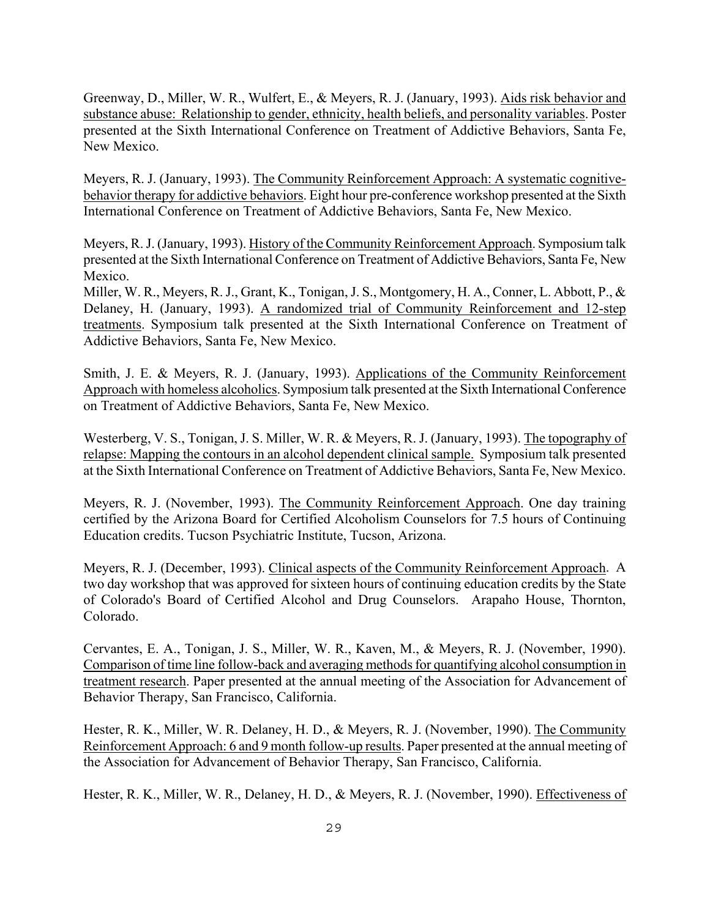Greenway, D., Miller, W. R., Wulfert, E., & Meyers, R. J. (January, 1993). Aids risk behavior and substance abuse: Relationship to gender, ethnicity, health beliefs, and personality variables. Poster presented at the Sixth International Conference on Treatment of Addictive Behaviors, Santa Fe, New Mexico.

Meyers, R. J. (January, 1993). The Community Reinforcement Approach: A systematic cognitivebehavior therapy for addictive behaviors. Eight hour pre-conference workshop presented at the Sixth International Conference on Treatment of Addictive Behaviors, Santa Fe, New Mexico.

Meyers, R. J. (January, 1993). History of the Community Reinforcement Approach. Symposium talk presented at the Sixth International Conference on Treatment of Addictive Behaviors, Santa Fe, New Mexico.

Miller, W. R., Meyers, R. J., Grant, K., Tonigan, J. S., Montgomery, H. A., Conner, L. Abbott, P., & Delaney, H. (January, 1993). A randomized trial of Community Reinforcement and 12-step treatments. Symposium talk presented at the Sixth International Conference on Treatment of Addictive Behaviors, Santa Fe, New Mexico.

Smith, J. E. & Meyers, R. J. (January, 1993). Applications of the Community Reinforcement Approach with homeless alcoholics. Symposium talk presented at the Sixth International Conference on Treatment of Addictive Behaviors, Santa Fe, New Mexico.

Westerberg, V. S., Tonigan, J. S. Miller, W. R. & Meyers, R. J. (January, 1993). The topography of relapse: Mapping the contours in an alcohol dependent clinical sample. Symposium talk presented at the Sixth International Conference on Treatment of Addictive Behaviors, Santa Fe, New Mexico.

Meyers, R. J. (November, 1993). The Community Reinforcement Approach. One day training certified by the Arizona Board for Certified Alcoholism Counselors for 7.5 hours of Continuing Education credits. Tucson Psychiatric Institute, Tucson, Arizona.

Meyers, R. J. (December, 1993). Clinical aspects of the Community Reinforcement Approach. A two day workshop that was approved for sixteen hours of continuing education credits by the State of Colorado's Board of Certified Alcohol and Drug Counselors. Arapaho House, Thornton, Colorado.

Cervantes, E. A., Tonigan, J. S., Miller, W. R., Kaven, M., & Meyers, R. J. (November, 1990). Comparison of time line follow-back and averaging methods for quantifying alcohol consumption in treatment research. Paper presented at the annual meeting of the Association for Advancement of Behavior Therapy, San Francisco, California.

Hester, R. K., Miller, W. R. Delaney, H. D., & Meyers, R. J. (November, 1990). The Community Reinforcement Approach: 6 and 9 month follow-up results. Paper presented at the annual meeting of the Association for Advancement of Behavior Therapy, San Francisco, California.

Hester, R. K., Miller, W. R., Delaney, H. D., & Meyers, R. J. (November, 1990). Effectiveness of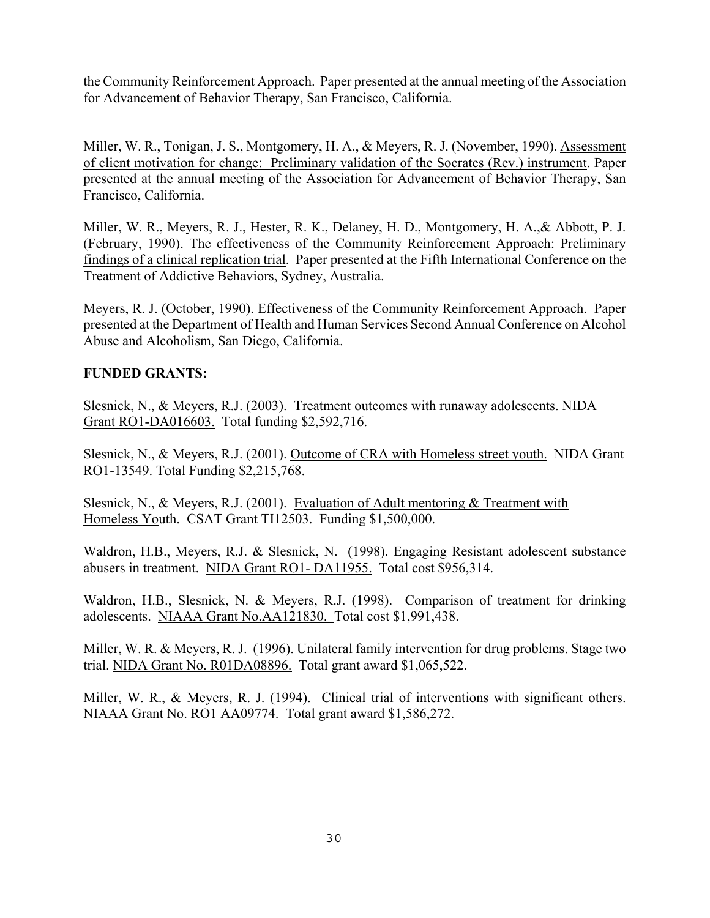the Community Reinforcement Approach. Paper presented at the annual meeting of the Association for Advancement of Behavior Therapy, San Francisco, California.

Miller, W. R., Tonigan, J. S., Montgomery, H. A., & Meyers, R. J. (November, 1990). Assessment of client motivation for change: Preliminary validation of the Socrates (Rev.) instrument. Paper presented at the annual meeting of the Association for Advancement of Behavior Therapy, San Francisco, California.

Miller, W. R., Meyers, R. J., Hester, R. K., Delaney, H. D., Montgomery, H. A.,& Abbott, P. J. (February, 1990). The effectiveness of the Community Reinforcement Approach: Preliminary findings of a clinical replication trial. Paper presented at the Fifth International Conference on the Treatment of Addictive Behaviors, Sydney, Australia.

Meyers, R. J. (October, 1990). Effectiveness of the Community Reinforcement Approach. Paper presented at the Department of Health and Human Services Second Annual Conference on Alcohol Abuse and Alcoholism, San Diego, California.

# **FUNDED GRANTS:**

Slesnick, N., & Meyers, R.J. (2003). Treatment outcomes with runaway adolescents. NIDA Grant RO1-DA016603. Total funding \$2,592,716.

Slesnick, N., & Meyers, R.J. (2001). Outcome of CRA with Homeless street youth. NIDA Grant RO1-13549. Total Funding \$2,215,768.

Slesnick, N., & Meyers, R.J. (2001). Evaluation of Adult mentoring & Treatment with Homeless Youth. CSAT Grant TI12503. Funding \$1,500,000.

Waldron, H.B., Meyers, R.J. & Slesnick, N. (1998). Engaging Resistant adolescent substance abusers in treatment. NIDA Grant RO1- DA11955. Total cost \$956,314.

Waldron, H.B., Slesnick, N. & Meyers, R.J. (1998). Comparison of treatment for drinking adolescents. NIAAA Grant No.AA121830. Total cost \$1,991,438.

Miller, W. R. & Meyers, R. J. (1996). Unilateral family intervention for drug problems. Stage two trial. NIDA Grant No. R01DA08896. Total grant award \$1,065,522.

Miller, W. R., & Meyers, R. J. (1994). Clinical trial of interventions with significant others. NIAAA Grant No. RO1 AA09774. Total grant award \$1,586,272.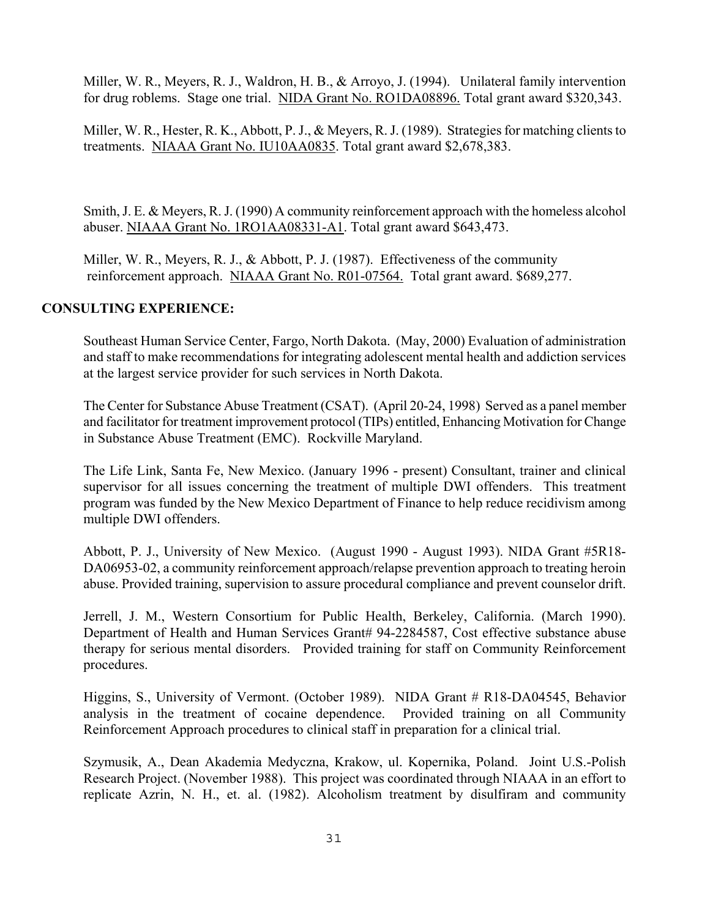Miller, W. R., Meyers, R. J., Waldron, H. B., & Arroyo, J. (1994). Unilateral family intervention for drug roblems. Stage one trial. NIDA Grant No. RO1DA08896. Total grant award \$320,343.

Miller, W. R., Hester, R. K., Abbott, P. J., & Meyers, R. J. (1989). Strategies for matching clients to treatments. NIAAA Grant No. IU10AA0835. Total grant award \$2,678,383.

Smith, J. E. & Meyers, R. J. (1990) A community reinforcement approach with the homeless alcohol abuser. NIAAA Grant No. 1RO1AA08331-A1. Total grant award \$643,473.

 Miller, W. R., Meyers, R. J., & Abbott, P. J. (1987). Effectiveness of the community reinforcement approach. NIAAA Grant No. R01-07564. Total grant award. \$689,277.

### **CONSULTING EXPERIENCE:**

Southeast Human Service Center, Fargo, North Dakota. (May, 2000) Evaluation of administration and staff to make recommendations for integrating adolescent mental health and addiction services at the largest service provider for such services in North Dakota.

The Center for Substance Abuse Treatment (CSAT). (April 20-24, 1998) Served as a panel member and facilitator for treatment improvement protocol (TIPs) entitled, Enhancing Motivation for Change in Substance Abuse Treatment (EMC). Rockville Maryland.

The Life Link, Santa Fe, New Mexico. (January 1996 - present) Consultant, trainer and clinical supervisor for all issues concerning the treatment of multiple DWI offenders. This treatment program was funded by the New Mexico Department of Finance to help reduce recidivism among multiple DWI offenders.

Abbott, P. J., University of New Mexico. (August 1990 - August 1993). NIDA Grant #5R18- DA06953-02, a community reinforcement approach/relapse prevention approach to treating heroin abuse. Provided training, supervision to assure procedural compliance and prevent counselor drift.

Jerrell, J. M., Western Consortium for Public Health, Berkeley, California. (March 1990). Department of Health and Human Services Grant# 94-2284587, Cost effective substance abuse therapy for serious mental disorders. Provided training for staff on Community Reinforcement procedures.

Higgins, S., University of Vermont. (October 1989). NIDA Grant # R18-DA04545, Behavior analysis in the treatment of cocaine dependence. Provided training on all Community Reinforcement Approach procedures to clinical staff in preparation for a clinical trial.

Szymusik, A., Dean Akademia Medyczna, Krakow, ul. Kopernika, Poland. Joint U.S.-Polish Research Project. (November 1988). This project was coordinated through NIAAA in an effort to replicate Azrin, N. H., et. al. (1982). Alcoholism treatment by disulfiram and community